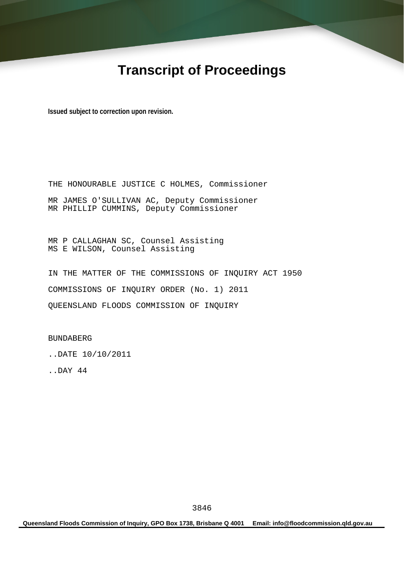# **Transcript of Proceedings**

**Issued subject to correction upon revision.** 

THE HONOURABLE JUSTICE C HOLMES, Commissioner MR JAMES O'SULLIVAN AC, Deputy Commissioner MR PHILLIP CUMMINS, Deputy Commissioner

MR P CALLAGHAN SC, Counsel Assisting MS E WILSON, Counsel Assisting

IN THE MATTER OF THE COMMISSIONS OF INQUIRY ACT 1950 COMMISSIONS OF INQUIRY ORDER (No. 1) 2011 QUEENSLAND FLOODS COMMISSION OF INQUIRY

BUNDABERG

..DATE 10/10/2011

..DAY 44

**Queensland Floods Commission of Inquiry, GPO Box 1738, Brisbane Q 4001 Email: info@floodcommission.qld.gov.au**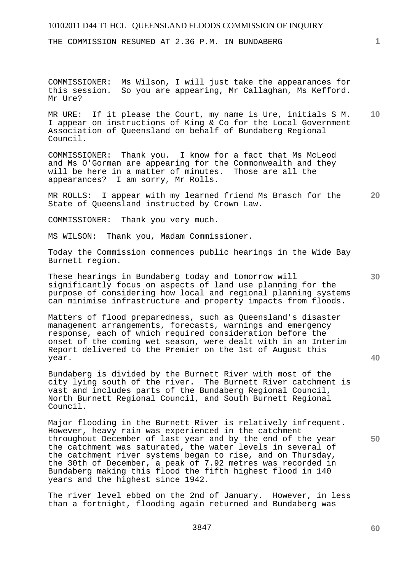THE COMMISSION RESUMED AT 2.36 P.M. IN BUNDABERG

COMMISSIONER: Ms Wilson, I will just take the appearances for this session. So you are appearing, Mr Callaghan, Ms Kefford. Mr Ure?

**10**  MR URE: If it please the Court, my name is Ure, initials S M. I appear on instructions of King & Co for the Local Government Association of Queensland on behalf of Bundaberg Regional Council.

COMMISSIONER: Thank you. I know for a fact that Ms McLeod and Ms O'Gorman are appearing for the Commonwealth and they will be here in a matter of minutes. Those are all the appearances? I am sorry, Mr Rolls.

**20**  MR ROLLS: I appear with my learned friend Ms Brasch for the State of Queensland instructed by Crown Law.

COMMISSIONER: Thank you very much.

MS WILSON: Thank you, Madam Commissioner.

Today the Commission commences public hearings in the Wide Bay Burnett region.

These hearings in Bundaberg today and tomorrow will significantly focus on aspects of land use planning for the purpose of considering how local and regional planning systems can minimise infrastructure and property impacts from floods.

Matters of flood preparedness, such as Queensland's disaster management arrangements, forecasts, warnings and emergency response, each of which required consideration before the onset of the coming wet season, were dealt with in an Interim Report delivered to the Premier on the 1st of August this year.

Bundaberg is divided by the Burnett River with most of the city lying south of the river. The Burnett River catchment is vast and includes parts of the Bundaberg Regional Council, North Burnett Regional Council, and South Burnett Regional Council.

Major flooding in the Burnett River is relatively infrequent. However, heavy rain was experienced in the catchment throughout December of last year and by the end of the year the catchment was saturated, the water levels in several of the catchment river systems began to rise, and on Thursday, the 30th of December, a peak of 7.92 metres was recorded in Bundaberg making this flood the fifth highest flood in 140 years and the highest since 1942.

The river level ebbed on the 2nd of January. However, in less than a fortnight, flooding again returned and Bundaberg was

**40** 

**30** 

**60**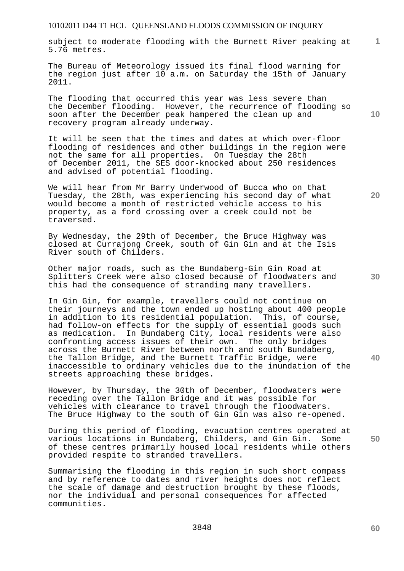subject to moderate flooding with the Burnett River peaking at 5.76 metres.

The Bureau of Meteorology issued its final flood warning for the region just after 10 a.m. on Saturday the 15th of January 2011.

The flooding that occurred this year was less severe than the December flooding. However, the recurrence of flooding so soon after the December peak hampered the clean up and recovery program already underway.

It will be seen that the times and dates at which over-floor flooding of residences and other buildings in the region were not the same for all properties. On Tuesday the 28th of December 2011, the SES door-knocked about 250 residences and advised of potential flooding.

We will hear from Mr Barry Underwood of Bucca who on that Tuesday, the 28th, was experiencing his second day of what would become a month of restricted vehicle access to his property, as a ford crossing over a creek could not be traversed.

By Wednesday, the 29th of December, the Bruce Highway was closed at Currajong Creek, south of Gin Gin and at the Isis River south of Childers.

Other major roads, such as the Bundaberg-Gin Gin Road at Splitters Creek were also closed because of floodwaters and this had the consequence of stranding many travellers.

In Gin Gin, for example, travellers could not continue on their journeys and the town ended up hosting about 400 people in addition to its residential population. This, of course, had follow-on effects for the supply of essential goods such as medication. In Bundaberg City, local residents were also confronting access issues of their own. The only bridges across the Burnett River between north and south Bundaberg, the Tallon Bridge, and the Burnett Traffic Bridge, were inaccessible to ordinary vehicles due to the inundation of the streets approaching these bridges.

However, by Thursday, the 30th of December, floodwaters were receding over the Tallon Bridge and it was possible for vehicles with clearance to travel through the floodwaters. The Bruce Highway to the south of Gin Gin was also re-opened.

During this period of flooding, evacuation centres operated at various locations in Bundaberg, Childers, and Gin Gin. Some of these centres primarily housed local residents while others provided respite to stranded travellers.

Summarising the flooding in this region in such short compass and by reference to dates and river heights does not reflect the scale of damage and destruction brought by these floods, nor the individual and personal consequences for affected communities.

**10** 

**1**

**20** 

**30** 

**40** 

**50**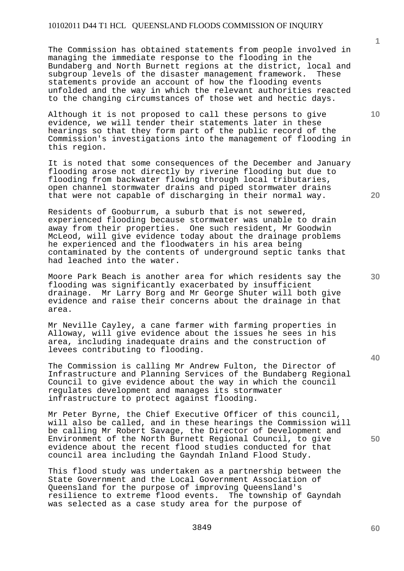The Commission has obtained statements from people involved in managing the immediate response to the flooding in the Bundaberg and North Burnett regions at the district, local and subgroup levels of the disaster management framework. These statements provide an account of how the flooding events unfolded and the way in which the relevant authorities reacted to the changing circumstances of those wet and hectic days.

Although it is not proposed to call these persons to give evidence, we will tender their statements later in these hearings so that they form part of the public record of the Commission's investigations into the management of flooding in this region.

It is noted that some consequences of the December and January flooding arose not directly by riverine flooding but due to flooding from backwater flowing through local tributaries, open channel stormwater drains and piped stormwater drains that were not capable of discharging in their normal way.

Residents of Gooburrum, a suburb that is not sewered, experienced flooding because stormwater was unable to drain away from their properties. One such resident, Mr Goodwin McLeod, will give evidence today about the drainage problems he experienced and the floodwaters in his area being contaminated by the contents of underground septic tanks that had leached into the water.

Moore Park Beach is another area for which residents say the flooding was significantly exacerbated by insufficient drainage. Mr Larry Borg and Mr George Shuter will both give evidence and raise their concerns about the drainage in that area.

Mr Neville Cayley, a cane farmer with farming properties in Alloway, will give evidence about the issues he sees in his area, including inadequate drains and the construction of levees contributing to flooding.

The Commission is calling Mr Andrew Fulton, the Director of Infrastructure and Planning Services of the Bundaberg Regional Council to give evidence about the way in which the council regulates development and manages its stormwater infrastructure to protect against flooding.

Mr Peter Byrne, the Chief Executive Officer of this council, will also be called, and in these hearings the Commission will be calling Mr Robert Savage, the Director of Development and Environment of the North Burnett Regional Council, to give evidence about the recent flood studies conducted for that council area including the Gayndah Inland Flood Study.

This flood study was undertaken as a partnership between the State Government and the Local Government Association of Queensland for the purpose of improving Queensland's resilience to extreme flood events. The township of Gayndah was selected as a case study area for the purpose of

**1**

**20** 

**10**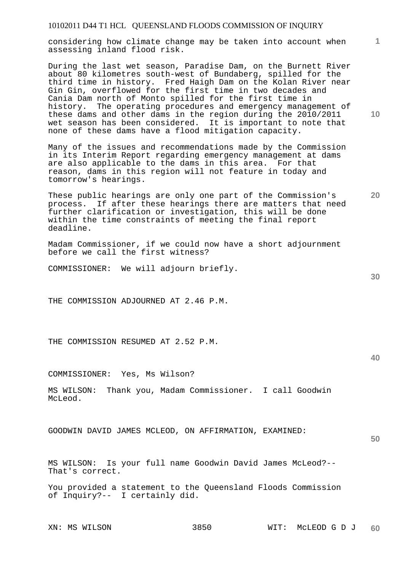considering how climate change may be taken into account when assessing inland flood risk.

During the last wet season, Paradise Dam, on the Burnett River about 80 kilometres south-west of Bundaberg, spilled for the third time in history. Fred Haigh Dam on the Kolan River near Gin Gin, overflowed for the first time in two decades and Cania Dam north of Monto spilled for the first time in history. The operating procedures and emergency management of these dams and other dams in the region during the 2010/2011 wet season has been considered. It is important to note that none of these dams have a flood mitigation capacity.

Many of the issues and recommendations made by the Commission in its Interim Report regarding emergency management at dams are also applicable to the dams in this area. For that reason, dams in this region will not feature in today and tomorrow's hearings.

These public hearings are only one part of the Commission's process. If after these hearings there are matters that need further clarification or investigation, this will be done within the time constraints of meeting the final report deadline.

Madam Commissioner, if we could now have a short adjournment before we call the first witness?

COMMISSIONER: We will adjourn briefly.

THE COMMISSION ADJOURNED AT 2.46 P.M.

THE COMMISSION RESUMED AT 2.52 P.M.

COMMISSIONER: Yes, Ms Wilson?

MS WILSON: Thank you, Madam Commissioner. I call Goodwin McLeod.

GOODWIN DAVID JAMES MCLEOD, ON AFFIRMATION, EXAMINED:

**50** 

MS WILSON: Is your full name Goodwin David James McLeod?-- That's correct.

You provided a statement to the Queensland Floods Commission of Inquiry?-- I certainly did.

**10** 

**1**

**30**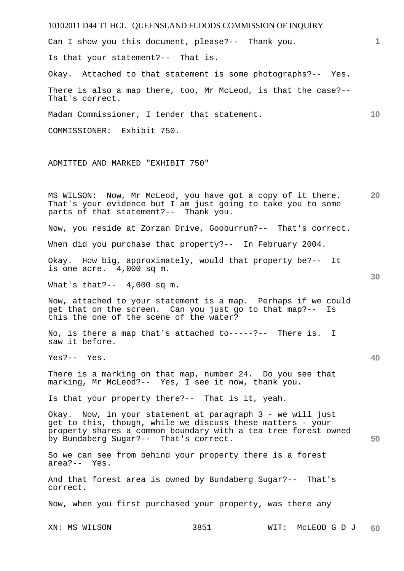10102011 D44 T1 HCL QUEENSLAND FLOODS COMMISSION OF INQUIRY XN: MS WILSON 3851 WIT: McLEOD G D J **1 10 20 30 40 50 60**  Can I show you this document, please?-- Thank you. Is that your statement?-- That is. Okay. Attached to that statement is some photographs?-- Yes. There is also a map there, too, Mr McLeod, is that the case?-- That's correct. Madam Commissioner, I tender that statement. COMMISSIONER: Exhibit 750. ADMITTED AND MARKED "EXHIBIT 750" MS WILSON: Now, Mr McLeod, you have got a copy of it there. That's your evidence but I am just going to take you to some parts of that statement?-- Thank you. Now, you reside at Zorzan Drive, Gooburrum?-- That's correct. When did you purchase that property?-- In February 2004. Okay. How big, approximately, would that property be?-- It is one acre. 4,000 sq m. What's that?--  $4,000$  sq m. Now, attached to your statement is a map. Perhaps if we could get that on the screen. Can you just go to that map?-- Is this the one of the scene of the water? No, is there a map that's attached to-----?-- There is. I saw it before. Yes?-- Yes. There is a marking on that map, number 24. Do you see that marking, Mr McLeod?-- Yes, I see it now, thank you. Is that your property there?-- That is it, yeah. Okay. Now, in your statement at paragraph 3 - we will just get to this, though, while we discuss these matters - your property shares a common boundary with a tea tree forest owned by Bundaberg Sugar?-- That's correct. So we can see from behind your property there is a forest area?-- Yes. And that forest area is owned by Bundaberg Sugar?-- That's correct. Now, when you first purchased your property, was there any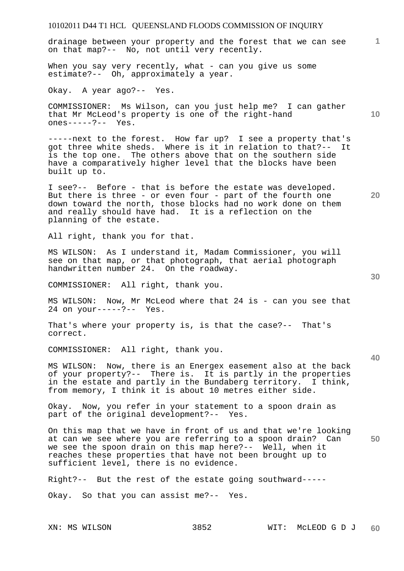drainage between your property and the forest that we can see on that map?-- No, not until very recently.

When you say very recently, what - can you give us some estimate?-- Oh, approximately a year.

Okay. A year ago?-- Yes.

COMMISSIONER: Ms Wilson, can you just help me? I can gather that Mr McLeod's property is one of the right-hand ones-----?-- Yes.

-----next to the forest. How far up? I see a property that's got three white sheds. Where is it in relation to that?-- It is the top one. The others above that on the southern side have a comparatively higher level that the blocks have been built up to.

I see?-- Before - that is before the estate was developed. But there is three - or even four - part of the fourth one down toward the north, those blocks had no work done on them and really should have had. It is a reflection on the planning of the estate.

All right, thank you for that.

MS WILSON: As I understand it, Madam Commissioner, you will see on that map, or that photograph, that aerial photograph handwritten number 24. On the roadway.

COMMISSIONER: All right, thank you.

MS WILSON: Now, Mr McLeod where that 24 is - can you see that 24 on your-----?-- Yes.

That's where your property is, is that the case?-- That's correct.

COMMISSIONER: All right, thank you.

MS WILSON: Now, there is an Energex easement also at the back of your property?-- There is. It is partly in the properties in the estate and partly in the Bundaberg territory. I think, from memory, I think it is about 10 metres either side.

Okay. Now, you refer in your statement to a spoon drain as part of the original development?-- Yes.

**50**  On this map that we have in front of us and that we're looking at can we see where you are referring to a spoon drain? Can we see the spoon drain on this map here?-- Well, when it reaches these properties that have not been brought up to sufficient level, there is no evidence.

Right?-- But the rest of the estate going southward-----

Okay. So that you can assist me?-- Yes.

**40** 

**30** 

**10** 

**20**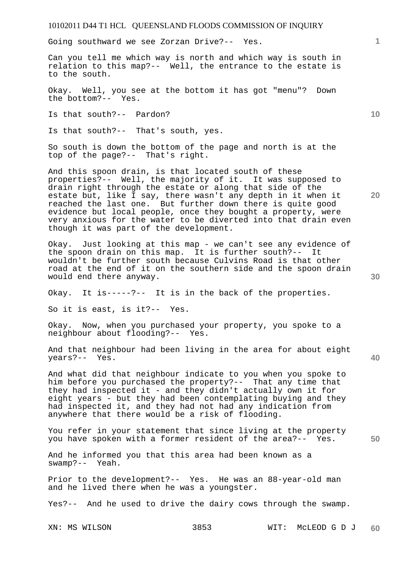Going southward we see Zorzan Drive?-- Yes.

Can you tell me which way is north and which way is south in relation to this map?-- Well, the entrance to the estate is to the south.

Okay. Well, you see at the bottom it has got "menu"? Down the bottom?-- Yes.

Is that south?-- Pardon?

Is that south?-- That's south, yes.

So south is down the bottom of the page and north is at the top of the page?-- That's right.

And this spoon drain, is that located south of these properties?-- Well, the majority of it. It was supposed to drain right through the estate or along that side of the estate but, like I say, there wasn't any depth in it when it reached the last one. But further down there is quite good evidence but local people, once they bought a property, were very anxious for the water to be diverted into that drain even though it was part of the development.

Okay. Just looking at this map - we can't see any evidence of the spoon drain on this map. It is further south?-- It wouldn't be further south because Culvins Road is that other road at the end of it on the southern side and the spoon drain would end there anyway.

Okay. It is-----?-- It is in the back of the properties.

So it is east, is it?-- Yes.

Okay. Now, when you purchased your property, you spoke to a neighbour about flooding?-- Yes.

And that neighbour had been living in the area for about eight years?-- Yes.

And what did that neighbour indicate to you when you spoke to him before you purchased the property?-- That any time that they had inspected it - and they didn't actually own it for eight years - but they had been contemplating buying and they had inspected it, and they had not had any indication from anywhere that there would be a risk of flooding.

You refer in your statement that since living at the property you have spoken with a former resident of the area?-- Yes.

And he informed you that this area had been known as a swamp?-- Yeah.

Prior to the development?-- Yes. He was an 88-year-old man and he lived there when he was a youngster.

Yes?-- And he used to drive the dairy cows through the swamp.

XN: MS WILSON 3853 WIT: McLEOD G D J **60** 

**30** 

**40** 

**50** 

**20** 

**10**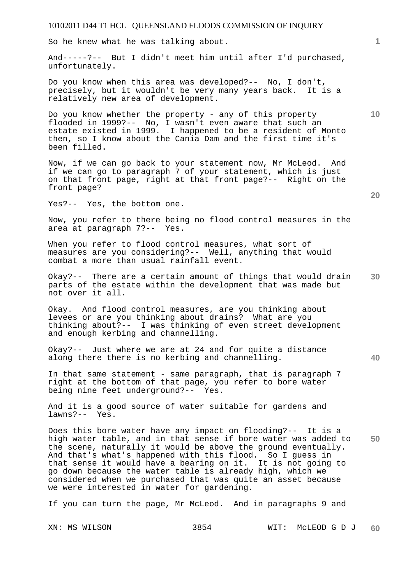So he knew what he was talking about.

And-----?-- But I didn't meet him until after I'd purchased, unfortunately.

Do you know when this area was developed?-- No, I don't, precisely, but it wouldn't be very many years back. It is a relatively new area of development.

Do you know whether the property - any of this property flooded in 1999?-- No, I wasn't even aware that such an estate existed in 1999. I happened to be a resident of Monto then, so I know about the Cania Dam and the first time it's been filled.

Now, if we can go back to your statement now, Mr McLeod. And if we can go to paragraph 7 of your statement, which is just on that front page, right at that front page?-- Right on the front page?

Yes?-- Yes, the bottom one.

Now, you refer to there being no flood control measures in the area at paragraph 7?-- Yes.

When you refer to flood control measures, what sort of measures are you considering?-- Well, anything that would combat a more than usual rainfall event.

**30**  Okay?-- There are a certain amount of things that would drain parts of the estate within the development that was made but not over it all.

Okay. And flood control measures, are you thinking about levees or are you thinking about drains? What are you thinking about?-- I was thinking of even street development and enough kerbing and channelling.

Okay?-- Just where we are at 24 and for quite a distance along there there is no kerbing and channelling.

In that same statement - same paragraph, that is paragraph 7 right at the bottom of that page, you refer to bore water being nine feet underground?-- Yes.

And it is a good source of water suitable for gardens and lawns?-- Yes.

**50**  Does this bore water have any impact on flooding?-- It is a high water table, and in that sense if bore water was added to the scene, naturally it would be above the ground eventually. And that's what's happened with this flood. So I guess in that sense it would have a bearing on it. It is not going to go down because the water table is already high, which we considered when we purchased that was quite an asset because we were interested in water for gardening.

If you can turn the page, Mr McLeod. And in paragraphs 9 and

**10** 

**20**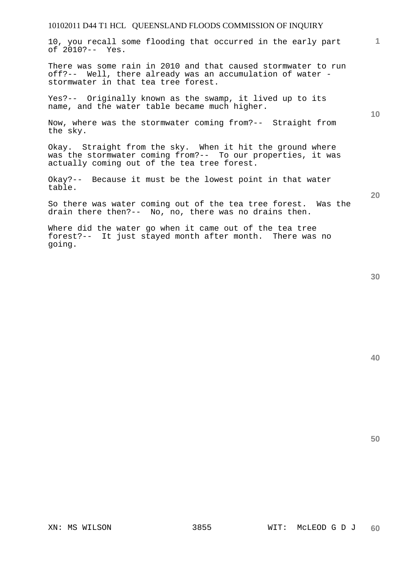10, you recall some flooding that occurred in the early part of 2010?-- Yes.

There was some rain in 2010 and that caused stormwater to run off?-- Well, there already was an accumulation of water stormwater in that tea tree forest.

Yes?-- Originally known as the swamp, it lived up to its name, and the water table became much higher.

Now, where was the stormwater coming from?-- Straight from the sky.

Okay. Straight from the sky. When it hit the ground where was the stormwater coming from?-- To our properties, it was actually coming out of the tea tree forest.

Okay?-- Because it must be the lowest point in that water table.

So there was water coming out of the tea tree forest. Was the drain there then?-- No, no, there was no drains then.

Where did the water go when it came out of the tea tree forest?-- It just stayed month after month. There was no going.

**40** 

**50** 

**20** 

**1**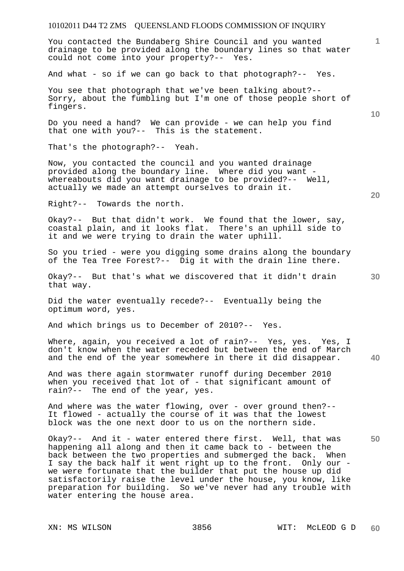You contacted the Bundaberg Shire Council and you wanted drainage to be provided along the boundary lines so that water could not come into your property?-- Yes.

And what - so if we can go back to that photograph?-- Yes.

You see that photograph that we've been talking about?-- Sorry, about the fumbling but I'm one of those people short of fingers.

Do you need a hand? We can provide - we can help you find that one with you?-- This is the statement.

That's the photograph?-- Yeah.

Now, you contacted the council and you wanted drainage provided along the boundary line. Where did you want whereabouts did you want drainage to be provided?-- Well, actually we made an attempt ourselves to drain it.

Right?-- Towards the north.

Okay?-- But that didn't work. We found that the lower, say, coastal plain, and it looks flat. There's an uphill side to it and we were trying to drain the water uphill.

So you tried - were you digging some drains along the boundary of the Tea Tree Forest?-- Dig it with the drain line there.

Okay?-- But that's what we discovered that it didn't drain that way.

Did the water eventually recede?-- Eventually being the optimum word, yes.

And which brings us to December of 2010?-- Yes.

Where, again, you received a lot of rain?-- Yes, yes. Yes, I don't know when the water receded but between the end of March and the end of the year somewhere in there it did disappear.

And was there again stormwater runoff during December 2010 when you received that lot of - that significant amount of rain?-- The end of the year, yes.

And where was the water flowing, over - over ground then?--It flowed - actually the course of it was that the lowest block was the one next door to us on the northern side.

Okay?-- And it - water entered there first. Well, that was happening all along and then it came back to - between the back between the two properties and submerged the back. When I say the back half it went right up to the front. Only our we were fortunate that the builder that put the house up did satisfactorily raise the level under the house, you know, like preparation for building. So we've never had any trouble with water entering the house area.

**10** 

**1**

**40**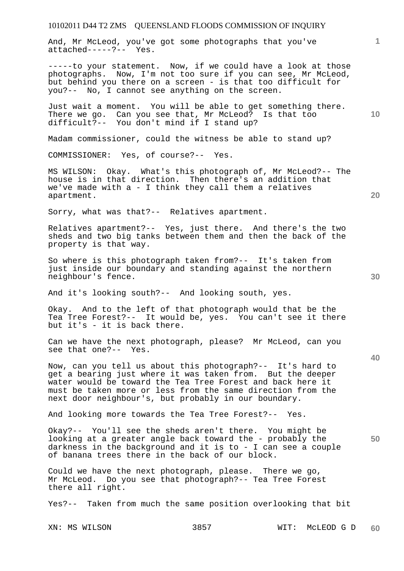And, Mr McLeod, you've got some photographs that you've attached-----?-- Yes.

-----to your statement. Now, if we could have a look at those photographs. Now, I'm not too sure if you can see, Mr McLeod, but behind you there on a screen - is that too difficult for you?-- No, I cannot see anything on the screen.

Just wait a moment. You will be able to get something there. There we go. Can you see that, Mr McLeod? Is that too difficult?-- You don't mind if I stand up?

Madam commissioner, could the witness be able to stand up?

COMMISSIONER: Yes, of course?-- Yes.

MS WILSON: Okay. What's this photograph of, Mr McLeod?-- The house is in that direction. Then there's an addition that we've made with a - I think they call them a relatives apartment.

Sorry, what was that?-- Relatives apartment.

Relatives apartment?-- Yes, just there. And there's the two sheds and two big tanks between them and then the back of the property is that way.

So where is this photograph taken from?-- It's taken from just inside our boundary and standing against the northern neighbour's fence.

And it's looking south?-- And looking south, yes.

Okay. And to the left of that photograph would that be the Tea Tree Forest?-- It would be, yes. You can't see it there but it's - it is back there.

Can we have the next photograph, please? Mr McLeod, can you see that one?-- Yes.

Now, can you tell us about this photograph?-- It's hard to get a bearing just where it was taken from. But the deeper water would be toward the Tea Tree Forest and back here it must be taken more or less from the same direction from the next door neighbour's, but probably in our boundary.

And looking more towards the Tea Tree Forest?-- Yes.

Okay?-- You'll see the sheds aren't there. You might be looking at a greater angle back toward the - probably the darkness in the background and it is to - I can see a couple of banana trees there in the back of our block.

Could we have the next photograph, please. There we go, Mr McLeod. Do you see that photograph?-- Tea Tree Forest there all right.

Yes?-- Taken from much the same position overlooking that bit

**30** 

**20** 

**50** 

**10**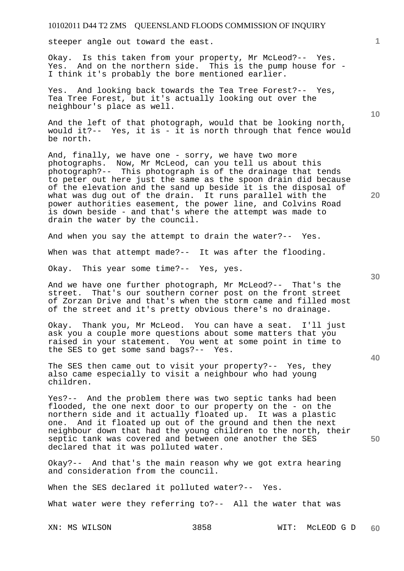steeper angle out toward the east.

Okay. Is this taken from your property, Mr McLeod?-- Yes. Yes. And on the northern side. This is the pump house for - I think it's probably the bore mentioned earlier.

Yes. And looking back towards the Tea Tree Forest?-- Yes, Tea Tree Forest, but it's actually looking out over the neighbour's place as well.

And the left of that photograph, would that be looking north, would it?-- Yes, it is - it is north through that fence would be north.

And, finally, we have one - sorry, we have two more photographs. Now, Mr McLeod, can you tell us about this photograph?-- This photograph is of the drainage that tends to peter out here just the same as the spoon drain did because of the elevation and the sand up beside it is the disposal of what was dug out of the drain. It runs parallel with the power authorities easement, the power line, and Colvins Road is down beside - and that's where the attempt was made to drain the water by the council.

And when you say the attempt to drain the water?-- Yes.

When was that attempt made?-- It was after the flooding.

Okay. This year some time?-- Yes, yes.

And we have one further photograph, Mr McLeod?-- That's the street. That's our southern corner post on the front street of Zorzan Drive and that's when the storm came and filled most of the street and it's pretty obvious there's no drainage.

Okay. Thank you, Mr McLeod. You can have a seat. I'll just ask you a couple more questions about some matters that you raised in your statement. You went at some point in time to the SES to get some sand bags?-- Yes.

The SES then came out to visit your property?-- Yes, they also came especially to visit a neighbour who had young children.

Yes?-- And the problem there was two septic tanks had been flooded, the one next door to our property on the - on the northern side and it actually floated up. It was a plastic one. And it floated up out of the ground and then the next neighbour down that had the young children to the north, their septic tank was covered and between one another the SES declared that it was polluted water.

Okay?-- And that's the main reason why we got extra hearing and consideration from the council.

When the SES declared it polluted water?-- Yes.

What water were they referring to?-- All the water that was

**20** 

**10** 

**30** 

**40**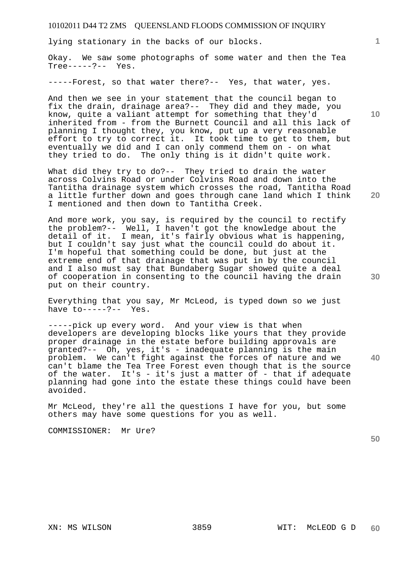lying stationary in the backs of our blocks.

Okay. We saw some photographs of some water and then the Tea Tree-----?-- Yes.

-----Forest, so that water there?-- Yes, that water, yes.

And then we see in your statement that the council began to fix the drain, drainage area?-- They did and they made, you know, quite a valiant attempt for something that they'd inherited from - from the Burnett Council and all this lack of planning I thought they, you know, put up a very reasonable effort to try to correct it. It took time to get to them, but eventually we did and I can only commend them on - on what they tried to do. The only thing is it didn't quite work.

What did they try to do?-- They tried to drain the water across Colvins Road or under Colvins Road and down into the Tantitha drainage system which crosses the road, Tantitha Road a little further down and goes through cane land which I think I mentioned and then down to Tantitha Creek.

And more work, you say, is required by the council to rectify the problem?-- Well, I haven't got the knowledge about the detail of it. I mean, it's fairly obvious what is happening, but I couldn't say just what the council could do about it. I'm hopeful that something could be done, but just at the extreme end of that drainage that was put in by the council and I also must say that Bundaberg Sugar showed quite a deal of cooperation in consenting to the council having the drain put on their country.

Everything that you say, Mr McLeod, is typed down so we just have  $to---?--$  Yes.

-----pick up every word. And your view is that when developers are developing blocks like yours that they provide proper drainage in the estate before building approvals are granted?-- Oh, yes, it's - inadequate planning is the main problem. We can't fight against the forces of nature and we can't blame the Tea Tree Forest even though that is the source of the water. It's - it's just a matter of - that if adequate planning had gone into the estate these things could have been avoided.

Mr McLeod, they're all the questions I have for you, but some others may have some questions for you as well.

COMMISSIONER: Mr Ure?

**50** 

**10** 

**1**

**30** 

**40**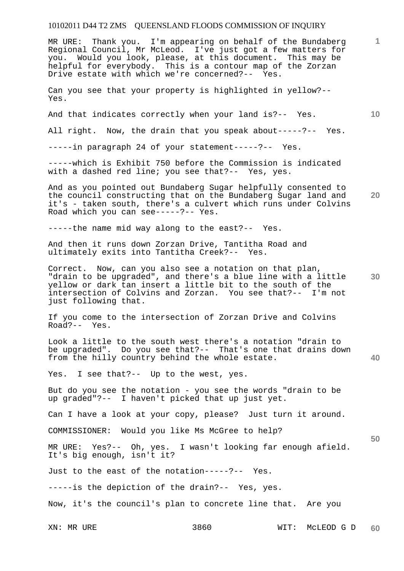XN: MR URE 3860 WIT: MCLEOD G D **1 10 20 30 40 50 60**  MR URE: Thank you. I'm appearing on behalf of the Bundaberg Regional Council, Mr McLeod. I've just got a few matters for you. Would you look, please, at this document. This may be helpful for everybody. This is a contour map of the Zorzan Drive estate with which we're concerned?-- Yes. Can you see that your property is highlighted in yellow?-- Yes. And that indicates correctly when your land is?-- Yes. All right. Now, the drain that you speak about-----?-- Yes. -----in paragraph 24 of your statement-----?-- Yes. -----which is Exhibit 750 before the Commission is indicated with a dashed red line; you see that?-- Yes, yes. And as you pointed out Bundaberg Sugar helpfully consented to the council constructing that on the Bundaberg Sugar land and it's - taken south, there's a culvert which runs under Colvins Road which you can see-----?-- Yes. -----the name mid way along to the east?-- Yes. And then it runs down Zorzan Drive, Tantitha Road and ultimately exits into Tantitha Creek?-- Yes. Correct. Now, can you also see a notation on that plan, "drain to be upgraded", and there's a blue line with a little yellow or dark tan insert a little bit to the south of the intersection of Colvins and Zorzan. You see that?-- I'm not just following that. If you come to the intersection of Zorzan Drive and Colvins Road?-- Yes. Look a little to the south west there's a notation "drain to be upgraded". Do you see that?-- That's one that drains down from the hilly country behind the whole estate. Yes. I see that?-- Up to the west, yes. But do you see the notation - you see the words "drain to be up graded"?-- I haven't picked that up just yet. Can I have a look at your copy, please? Just turn it around. COMMISSIONER: Would you like Ms McGree to help? MR URE: Yes?-- Oh, yes. I wasn't looking far enough afield. It's big enough, isn't it? Just to the east of the notation-----?-- Yes. -----is the depiction of the drain?-- Yes, yes. Now, it's the council's plan to concrete line that. Are you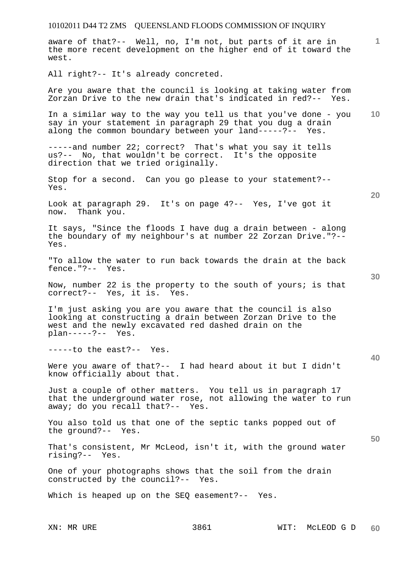10102011 D44 T2 ZMS QUEENSLAND FLOODS COMMISSION OF INQUIRY **1 10 20 30 40 50**  aware of that?-- Well, no, I'm not, but parts of it are in the more recent development on the higher end of it toward the west. All right?-- It's already concreted. Are you aware that the council is looking at taking water from Zorzan Drive to the new drain that's indicated in red?-- Yes. In a similar way to the way you tell us that you've done - you say in your statement in paragraph 29 that you dug a drain along the common boundary between your land-----?-- Yes. -----and number 22; correct? That's what you say it tells us?-- No, that wouldn't be correct. It's the opposite direction that we tried originally. Stop for a second. Can you go please to your statement?-- Yes. Look at paragraph 29. It's on page 4?-- Yes, I've got it now. Thank you. It says, "Since the floods I have dug a drain between - along the boundary of my neighbour's at number 22 Zorzan Drive."?-- Yes. "To allow the water to run back towards the drain at the back fence."?-- Yes. Now, number 22 is the property to the south of yours; is that correct?-- Yes, it is. Yes. I'm just asking you are you aware that the council is also looking at constructing a drain between Zorzan Drive to the west and the newly excavated red dashed drain on the plan-----?-- Yes. -----to the east?-- Yes. Were you aware of that?-- I had heard about it but I didn't know officially about that. Just a couple of other matters. You tell us in paragraph 17 that the underground water rose, not allowing the water to run away; do you recall that?-- Yes. You also told us that one of the septic tanks popped out of the ground?-- Yes. That's consistent, Mr McLeod, isn't it, with the ground water rising?-- Yes. One of your photographs shows that the soil from the drain constructed by the council?-- Yes. Which is heaped up on the SEQ easement?-- Yes.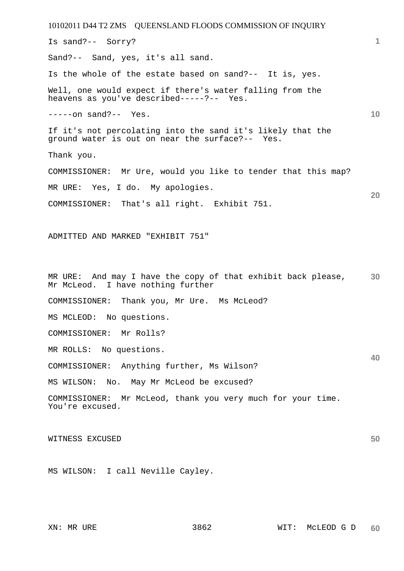10102011 D44 T2 ZMS QUEENSLAND FLOODS COMMISSION OF INQUIRY **1 10 20 30 40 50**  Is sand?-- Sorry? Sand?-- Sand, yes, it's all sand. Is the whole of the estate based on sand?-- It is, yes. Well, one would expect if there's water falling from the heavens as you've described-----?-- Yes. -----on sand?-- Yes. If it's not percolating into the sand it's likely that the ground water is out on near the surface?-- Yes. Thank you. COMMISSIONER: Mr Ure, would you like to tender that this map? MR URE: Yes, I do. My apologies. COMMISSIONER: That's all right. Exhibit 751. ADMITTED AND MARKED "EXHIBIT 751" MR URE: And may I have the copy of that exhibit back please, Mr McLeod. I have nothing further COMMISSIONER: Thank you, Mr Ure. Ms McLeod? MS MCLEOD: No questions. COMMISSIONER: Mr Rolls? MR ROLLS: No questions. COMMISSIONER: Anything further, Ms Wilson? MS WILSON: No. May Mr McLeod be excused? COMMISSIONER: Mr McLeod, thank you very much for your time. You're excused. WITNESS EXCUSED MS WILSON: I call Neville Cayley.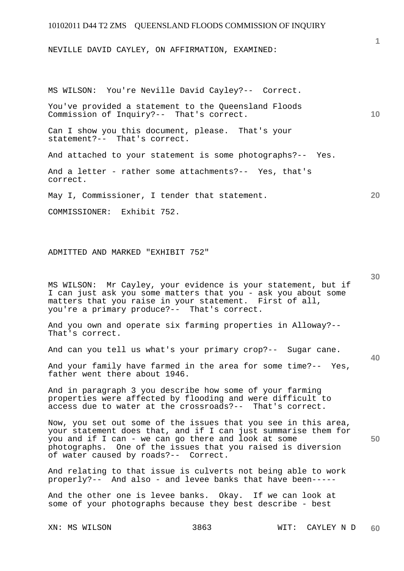NEVILLE DAVID CAYLEY, ON AFFIRMATION, EXAMINED:

MS WILSON: You're Neville David Cayley?-- Correct.

You've provided a statement to the Queensland Floods Commission of Inquiry?-- That's correct.

Can I show you this document, please. That's your statement?-- That's correct.

And attached to your statement is some photographs?-- Yes.

And a letter - rather some attachments?-- Yes, that's correct.

May I, Commissioner, I tender that statement.

COMMISSIONER: Exhibit 752.

ADMITTED AND MARKED "EXHIBIT 752"

MS WILSON: Mr Cayley, your evidence is your statement, but if I can just ask you some matters that you - ask you about some matters that you raise in your statement. First of all, you're a primary produce?-- That's correct.

And you own and operate six farming properties in Alloway?-- That's correct.

And can you tell us what's your primary crop?-- Sugar cane.

And your family have farmed in the area for some time?-- Yes, father went there about 1946.

And in paragraph 3 you describe how some of your farming properties were affected by flooding and were difficult to access due to water at the crossroads?-- That's correct.

Now, you set out some of the issues that you see in this area, your statement does that, and if I can just summarise them for you and if I can - we can go there and look at some photographs. One of the issues that you raised is diversion of water caused by roads?-- Correct.

And relating to that issue is culverts not being able to work properly?-- And also - and levee banks that have been-----

And the other one is levee banks. Okay. If we can look at some of your photographs because they best describe - best

**1**

**10** 

**20** 

**30** 

**40**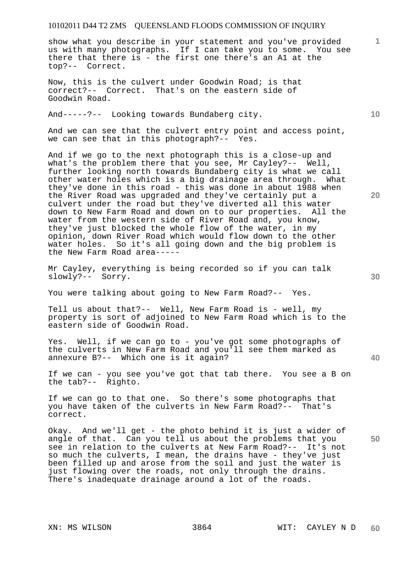show what you describe in your statement and you've provided us with many photographs. If I can take you to some. You see there that there is - the first one there's an A1 at the top?-- Correct.

Now, this is the culvert under Goodwin Road; is that correct?-- Correct. That's on the eastern side of Goodwin Road.

And-----?-- Looking towards Bundaberg city.

And we can see that the culvert entry point and access point, we can see that in this photograph?-- Yes.

And if we go to the next photograph this is a close-up and what's the problem there that you see, Mr Cayley?-- Well, further looking north towards Bundaberg city is what we call other water holes which is a big drainage area through. What they've done in this road - this was done in about 1988 when the River Road was upgraded and they've certainly put a culvert under the road but they've diverted all this water down to New Farm Road and down on to our properties. All the water from the western side of River Road and, you know, they've just blocked the whole flow of the water, in my opinion, down River Road which would flow down to the other water holes. So it's all going down and the big problem is the New Farm Road area-----

Mr Cayley, everything is being recorded so if you can talk slowly?-- Sorry.

You were talking about going to New Farm Road?-- Yes.

Tell us about that?-- Well, New Farm Road is - well, my property is sort of adjoined to New Farm Road which is to the eastern side of Goodwin Road.

Yes. Well, if we can go to - you've got some photographs of the culverts in New Farm Road and you'll see them marked as annexure B?-- Which one is it again?

If we can - you see you've got that tab there. You see a B on the tab?-- Righto.

If we can go to that one. So there's some photographs that you have taken of the culverts in New Farm Road?-- That's correct.

Okay. And we'll get - the photo behind it is just a wider of angle of that. Can you tell us about the problems that you see in relation to the culverts at New Farm Road?-- It's not so much the culverts, I mean, the drains have - they've just been filled up and arose from the soil and just the water is just flowing over the roads, not only through the drains. There's inadequate drainage around a lot of the roads.

**10** 

**20** 

**1**

**30** 

**40**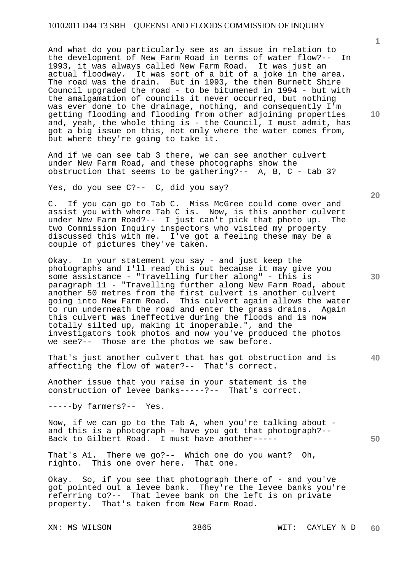And what do you particularly see as an issue in relation to the development of New Farm Road in terms of water flow?-- In 1993, it was always called New Farm Road. It was just an actual floodway. It was sort of a bit of a joke in the area. The road was the drain. But in 1993, the then Burnett Shire Council upgraded the road - to be bitumened in 1994 - but with the amalgamation of councils it never occurred, but nothing was ever done to the drainage, nothing, and consequently I'm getting flooding and flooding from other adjoining properties and, yeah, the whole thing is - the Council, I must admit, has got a big issue on this, not only where the water comes from, but where they're going to take it.

And if we can see tab 3 there, we can see another culvert under New Farm Road, and these photographs show the obstruction that seems to be gathering?-- A, B, C - tab 3?

Yes, do you see C?-- C, did you say?

C. If you can go to Tab C. Miss McGree could come over and assist you with where Tab C is. Now, is this another culvert under New Farm Road?-- I just can't pick that photo up. The two Commission Inquiry inspectors who visited my property discussed this with me. I've got a feeling these may be a couple of pictures they've taken.

Okay. In your statement you say - and just keep the photographs and I'll read this out because it may give you some assistance - "Travelling further along" - this is paragraph 11 - "Travelling further along New Farm Road, about another 50 metres from the first culvert is another culvert going into New Farm Road. This culvert again allows the water to run underneath the road and enter the grass drains. Again this culvert was ineffective during the floods and is now totally silted up, making it inoperable.", and the investigators took photos and now you've produced the photos we see?-- Those are the photos we saw before.

That's just another culvert that has got obstruction and is affecting the flow of water?-- That's correct.

Another issue that you raise in your statement is the construction of levee banks-----?-- That's correct.

-----by farmers?-- Yes.

Now, if we can go to the Tab A, when you're talking about and this is a photograph - have you got that photograph?-- Back to Gilbert Road. I must have another-----

That's A1. There we go?-- Which one do you want? Oh, righto. This one over here. That one.

Okay. So, if you see that photograph there of - and you've got pointed out a levee bank. They're the levee banks you're referring to?-- That levee bank on the left is on private property. That's taken from New Farm Road.

**10** 

**1**

**20** 

**40**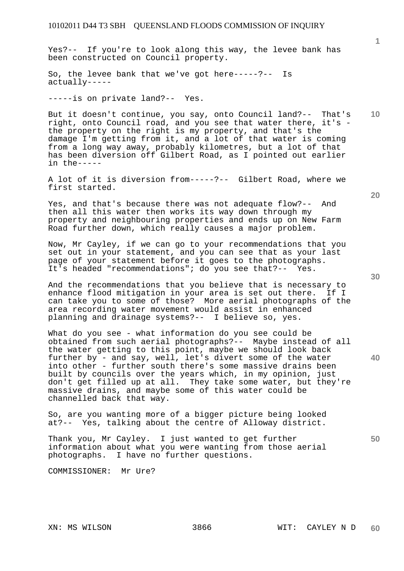Yes?-- If you're to look along this way, the levee bank has been constructed on Council property.

So, the levee bank that we've got here-----?-- Is actually-----

-----is on private land?-- Yes.

But it doesn't continue, you say, onto Council land?-- That's right, onto Council road, and you see that water there, it's the property on the right is my property, and that's the damage I'm getting from it, and a lot of that water is coming from a long way away, probably kilometres, but a lot of that has been diversion off Gilbert Road, as I pointed out earlier in the-----

A lot of it is diversion from-----?-- Gilbert Road, where we first started.

Yes, and that's because there was not adequate flow?-- And then all this water then works its way down through my property and neighbouring properties and ends up on New Farm Road further down, which really causes a major problem.

Now, Mr Cayley, if we can go to your recommendations that you set out in your statement, and you can see that as your last page of your statement before it goes to the photographs. It's headed "recommendations"; do you see that?-- Yes.

And the recommendations that you believe that is necessary to enhance flood mitigation in your area is set out there. If I can take you to some of those? More aerial photographs of the area recording water movement would assist in enhanced planning and drainage systems?-- I believe so, yes.

What do you see - what information do you see could be obtained from such aerial photographs?-- Maybe instead of all the water getting to this point, maybe we should look back further by - and say, well, let's divert some of the water into other - further south there's some massive drains been built by councils over the years which, in my opinion, just don't get filled up at all. They take some water, but they're massive drains, and maybe some of this water could be channelled back that way.

So, are you wanting more of a bigger picture being looked at?-- Yes, talking about the centre of Alloway district.

Thank you, Mr Cayley. I just wanted to get further information about what you were wanting from those aerial photographs. I have no further questions.

COMMISSIONER: Mr Ure?

**10** 

**1**

**20** 

**50**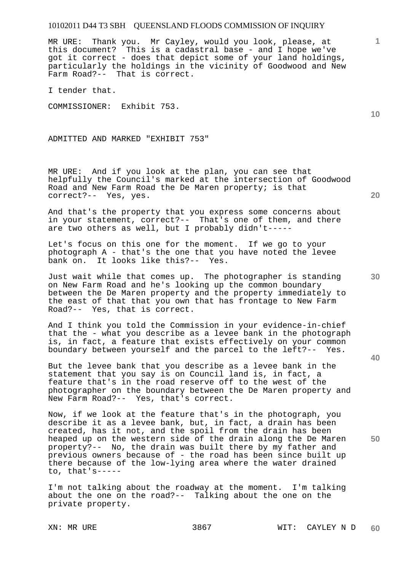MR URE: Thank you. Mr Cayley, would you look, please, at this document? This is a cadastral base - and I hope we've got it correct - does that depict some of your land holdings, particularly the holdings in the vicinity of Goodwood and New Farm Road?-- That is correct.

I tender that.

COMMISSIONER: Exhibit 753.

ADMITTED AND MARKED "EXHIBIT 753"

MR URE: And if you look at the plan, you can see that helpfully the Council's marked at the intersection of Goodwood Road and New Farm Road the De Maren property; is that correct?-- Yes, yes.

And that's the property that you express some concerns about in your statement, correct?-- That's one of them, and there are two others as well, but I probably didn't-----

Let's focus on this one for the moment. If we go to your photograph A - that's the one that you have noted the levee bank on. It looks like this?-- Yes.

Just wait while that comes up. The photographer is standing on New Farm Road and he's looking up the common boundary between the De Maren property and the property immediately to the east of that that you own that has frontage to New Farm Road?-- Yes, that is correct.

And I think you told the Commission in your evidence-in-chief that the - what you describe as a levee bank in the photograph is, in fact, a feature that exists effectively on your common boundary between yourself and the parcel to the left?-- Yes.

But the levee bank that you describe as a levee bank in the statement that you say is on Council land is, in fact, a feature that's in the road reserve off to the west of the photographer on the boundary between the De Maren property and New Farm Road?-- Yes, that's correct.

Now, if we look at the feature that's in the photograph, you describe it as a levee bank, but, in fact, a drain has been created, has it not, and the spoil from the drain has been heaped up on the western side of the drain along the De Maren property?-- No, the drain was built there by my father and previous owners because of - the road has been since built up there because of the low-lying area where the water drained to, that's-----

I'm not talking about the roadway at the moment. I'm talking about the one on the road?-- Talking about the one on the private property.

**10** 

**1**

**20** 

**50**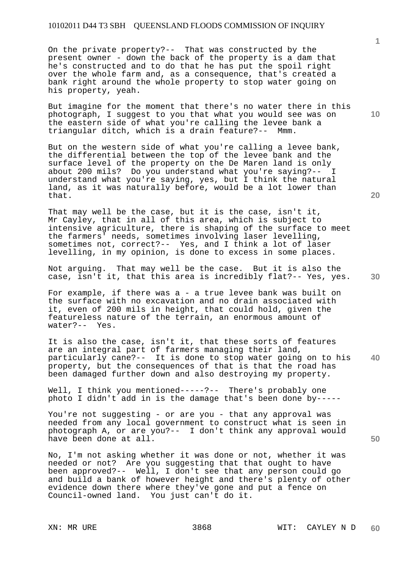On the private property?-- That was constructed by the present owner - down the back of the property is a dam that he's constructed and to do that he has put the spoil right over the whole farm and, as a consequence, that's created a bank right around the whole property to stop water going on his property, yeah.

But imagine for the moment that there's no water there in this photograph, I suggest to you that what you would see was on the eastern side of what you're calling the levee bank a triangular ditch, which is a drain feature?-- Mmm.

But on the western side of what you're calling a levee bank, the differential between the top of the levee bank and the surface level of the property on the De Maren land is only about 200 mils? Do you understand what you're saying?-- I understand what you're saying, yes, but I think the natural land, as it was naturally before, would be a lot lower than that.

That may well be the case, but it is the case, isn't it, Mr Cayley, that in all of this area, which is subject to intensive agriculture, there is shaping of the surface to meet the farmers' needs, sometimes involving laser levelling, sometimes not, correct?-- Yes, and I think a lot of laser levelling, in my opinion, is done to excess in some places.

Not arguing. That may well be the case. But it is also the case, isn't it, that this area is incredibly flat?-- Yes, yes.

For example, if there was a - a true levee bank was built on the surface with no excavation and no drain associated with it, even of 200 mils in height, that could hold, given the featureless nature of the terrain, an enormous amount of water?-- Yes.

**40**  It is also the case, isn't it, that these sorts of features are an integral part of farmers managing their land, particularly cane?-- It is done to stop water going on to his property, but the consequences of that is that the road has been damaged further down and also destroying my property.

Well, I think you mentioned-----?-- There's probably one photo I didn't add in is the damage that's been done by-----

You're not suggesting - or are you - that any approval was needed from any local government to construct what is seen in photograph A, or are you?-- I don't think any approval would have been done at all.

No, I'm not asking whether it was done or not, whether it was needed or not? Are you suggesting that that ought to have been approved?-- Well, I don't see that any person could go and build a bank of however height and there's plenty of other evidence down there where they've gone and put a fence on Council-owned land. You just can't do it.

**1**

**20** 

**30**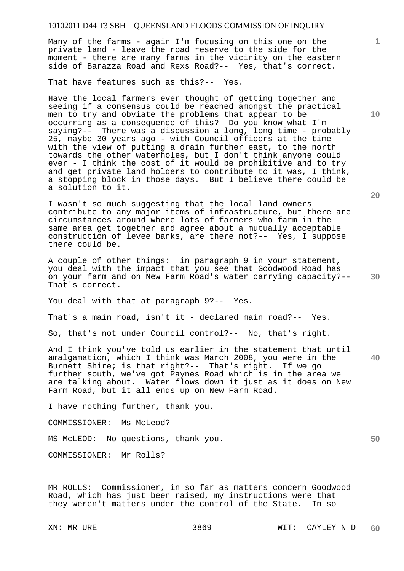Many of the farms - again I'm focusing on this one on the private land - leave the road reserve to the side for the moment - there are many farms in the vicinity on the eastern side of Barazza Road and Rexs Road?-- Yes, that's correct.

That have features such as this?-- Yes.

Have the local farmers ever thought of getting together and seeing if a consensus could be reached amongst the practical men to try and obviate the problems that appear to be occurring as a consequence of this? Do you know what I'm saying?-- There was a discussion a long, long time - probably 25, maybe 30 years ago - with Council officers at the time with the view of putting a drain further east, to the north towards the other waterholes, but I don't think anyone could ever - I think the cost of it would be prohibitive and to try and get private land holders to contribute to it was, I think, a stopping block in those days. But I believe there could be a solution to it.

I wasn't so much suggesting that the local land owners contribute to any major items of infrastructure, but there are circumstances around where lots of farmers who farm in the same area get together and agree about a mutually acceptable construction of levee banks, are there not?-- Yes, I suppose there could be.

A couple of other things: in paragraph 9 in your statement, you deal with the impact that you see that Goodwood Road has on your farm and on New Farm Road's water carrying capacity?-- That's correct.

You deal with that at paragraph 9?-- Yes.

That's a main road, isn't it - declared main road?-- Yes.

So, that's not under Council control?-- No, that's right.

**40**  And I think you've told us earlier in the statement that until amalgamation, which I think was March 2008, you were in the Burnett Shire; is that right?-- That's right. If we go further south, we've got Paynes Road which is in the area we are talking about. Water flows down it just as it does on New Farm Road, but it all ends up on New Farm Road.

I have nothing further, thank you.

COMMISSIONER: Ms McLeod?

MS McLEOD: No questions, thank you.

COMMISSIONER: Mr Rolls?

MR ROLLS: Commissioner, in so far as matters concern Goodwood Road, which has just been raised, my instructions were that<br>they weren't matters under the control of the State. In so they weren't matters under the control of the State.

**10** 

**1**

**20**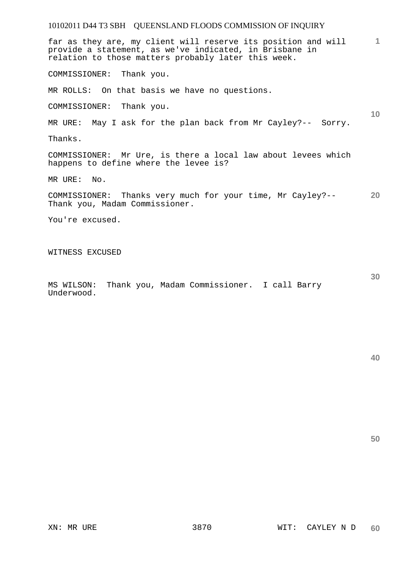| 10102011 D44 T3 SBH QUEENSLAND FLOODS COMMISSION OF INQUIRY                                                                                                                     |           |
|---------------------------------------------------------------------------------------------------------------------------------------------------------------------------------|-----------|
| far as they are, my client will reserve its position and will<br>provide a statement, as we've indicated, in Brisbane in<br>relation to those matters probably later this week. | 1         |
| COMMISSIONER: Thank you.                                                                                                                                                        |           |
| MR ROLLS: On that basis we have no questions.                                                                                                                                   |           |
| COMMISSIONER: Thank you.                                                                                                                                                        | 10        |
| MR URE: May I ask for the plan back from Mr Cayley?-- Sorry.                                                                                                                    |           |
| Thanks.                                                                                                                                                                         |           |
| COMMISSIONER: Mr Ure, is there a local law about levees which<br>happens to define where the levee is?                                                                          |           |
| MR URE: No.                                                                                                                                                                     |           |
| COMMISSIONER: Thanks very much for your time, Mr Cayley?--<br>Thank you, Madam Commissioner.                                                                                    | <b>20</b> |
| You're excused.                                                                                                                                                                 |           |
|                                                                                                                                                                                 |           |
| WITNESS EXCUSED                                                                                                                                                                 |           |
|                                                                                                                                                                                 |           |

MS WILSON: Thank you, Madam Commissioner. I call Barry Underwood.

**50**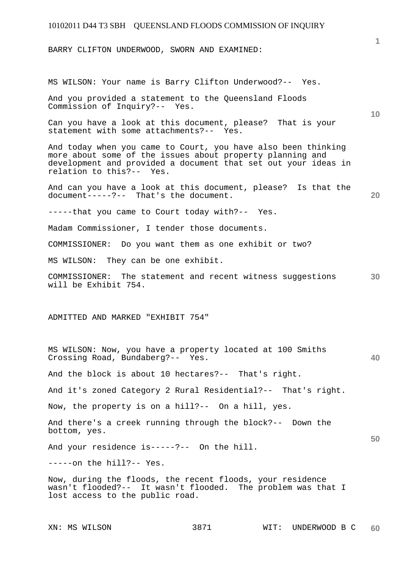BARRY CLIFTON UNDERWOOD, SWORN AND EXAMINED:

MS WILSON: Your name is Barry Clifton Underwood?-- Yes.

And you provided a statement to the Queensland Floods Commission of Inquiry?-- Yes.

Can you have a look at this document, please? That is your statement with some attachments?-- Yes.

And today when you came to Court, you have also been thinking more about some of the issues about property planning and development and provided a document that set out your ideas in relation to this?-- Yes.

And can you have a look at this document, please? Is that the document-----?-- That's the document.

-----that you came to Court today with?-- Yes.

Madam Commissioner, I tender those documents.

COMMISSIONER: Do you want them as one exhibit or two?

MS WILSON: They can be one exhibit.

**30**  COMMISSIONER: The statement and recent witness suggestions will be Exhibit 754.

#### ADMITTED AND MARKED "EXHIBIT 754"

MS WILSON: Now, you have a property located at 100 Smiths Crossing Road, Bundaberg?-- Yes.

And the block is about 10 hectares?-- That's right.

And it's zoned Category 2 Rural Residential?-- That's right.

Now, the property is on a hill?-- On a hill, yes.

And there's a creek running through the block?-- Down the bottom, yes.

And your residence is-----?-- On the hill.

-----on the hill?-- Yes.

Now, during the floods, the recent floods, your residence wasn't flooded?-- It wasn't flooded. The problem was that I lost access to the public road.

**1**

**10** 

**40** 

**50**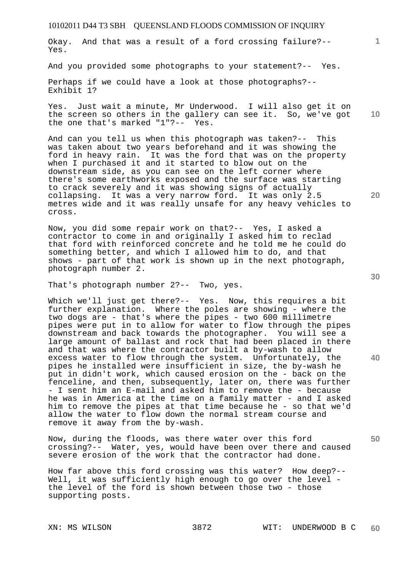Okay. And that was a result of a ford crossing failure?-- Yes.

And you provided some photographs to your statement?-- Yes.

Perhaps if we could have a look at those photographs?-- Exhibit 1?

**10**  Yes. Just wait a minute, Mr Underwood. I will also get it on the screen so others in the gallery can see it. So, we've got the one that's marked "1"?-- Yes.

And can you tell us when this photograph was taken?-- This was taken about two years beforehand and it was showing the ford in heavy rain. It was the ford that was on the property when I purchased it and it started to blow out on the downstream side, as you can see on the left corner where there's some earthworks exposed and the surface was starting to crack severely and it was showing signs of actually collapsing. It was a very narrow ford. It was only 2.5 metres wide and it was really unsafe for any heavy vehicles to cross.

Now, you did some repair work on that?-- Yes, I asked a contractor to come in and originally I asked him to reclad that ford with reinforced concrete and he told me he could do something better, and which I allowed him to do, and that shows - part of that work is shown up in the next photograph, photograph number 2.

That's photograph number 2?-- Two, yes.

Which we'll just get there?-- Yes. Now, this requires a bit further explanation. Where the poles are showing - where the two dogs are - that's where the pipes - two 600 millimetre pipes were put in to allow for water to flow through the pipes downstream and back towards the photographer. You will see a large amount of ballast and rock that had been placed in there and that was where the contractor built a by-wash to allow excess water to flow through the system. Unfortunately, the pipes he installed were insufficient in size, the by-wash he put in didn't work, which caused erosion on the - back on the fenceline, and then, subsequently, later on, there was further - I sent him an E-mail and asked him to remove the - because he was in America at the time on a family matter - and I asked him to remove the pipes at that time because he - so that we'd allow the water to flow down the normal stream course and remove it away from the by-wash.

Now, during the floods, was there water over this ford crossing?-- Water, yes, would have been over there and caused severe erosion of the work that the contractor had done.

How far above this ford crossing was this water? How deep?-- Well, it was sufficiently high enough to go over the level the level of the ford is shown between those two - those supporting posts.

**30** 

**20** 

**50** 

**40**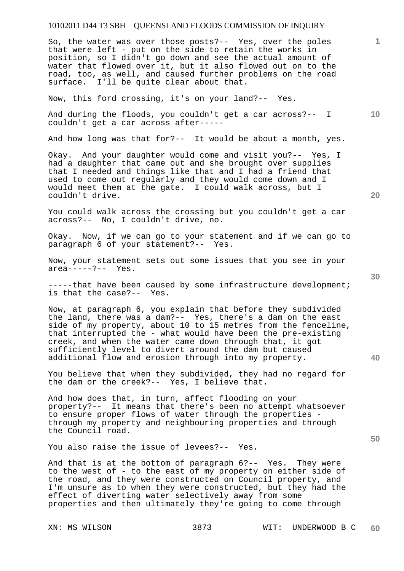So, the water was over those posts?-- Yes, over the poles that were left - put on the side to retain the works in position, so I didn't go down and see the actual amount of water that flowed over it, but it also flowed out on to the road, too, as well, and caused further problems on the road surface. I'll be quite clear about that.

Now, this ford crossing, it's on your land?-- Yes.

**10**  And during the floods, you couldn't get a car across?-- I couldn't get a car across after-----

And how long was that for?-- It would be about a month, yes.

Okay. And your daughter would come and visit you?-- Yes, I had a daughter that came out and she brought over supplies that I needed and things like that and I had a friend that used to come out regularly and they would come down and I would meet them at the gate. I could walk across, but I couldn't drive.

You could walk across the crossing but you couldn't get a car across?-- No, I couldn't drive, no.

Okay. Now, if we can go to your statement and if we can go to paragraph 6 of your statement?-- Yes.

Now, your statement sets out some issues that you see in your area-----?-- Yes.

-----that have been caused by some infrastructure development; is that the case?-- Yes.

Now, at paragraph 6, you explain that before they subdivided the land, there was a dam?-- Yes, there's a dam on the east side of my property, about 10 to 15 metres from the fenceline, that interrupted the - what would have been the pre-existing creek, and when the water came down through that, it got sufficiently level to divert around the dam but caused additional flow and erosion through into my property.

You believe that when they subdivided, they had no regard for the dam or the creek?-- Yes, I believe that.

And how does that, in turn, affect flooding on your property?-- It means that there's been no attempt whatsoever to ensure proper flows of water through the properties through my property and neighbouring properties and through the Council road.

You also raise the issue of levees?-- Yes.

And that is at the bottom of paragraph 6?-- Yes. They were to the west of - to the east of my property on either side of the road, and they were constructed on Council property, and I'm unsure as to when they were constructed, but they had the effect of diverting water selectively away from some properties and then ultimately they're going to come through

**20** 

**40** 

**50**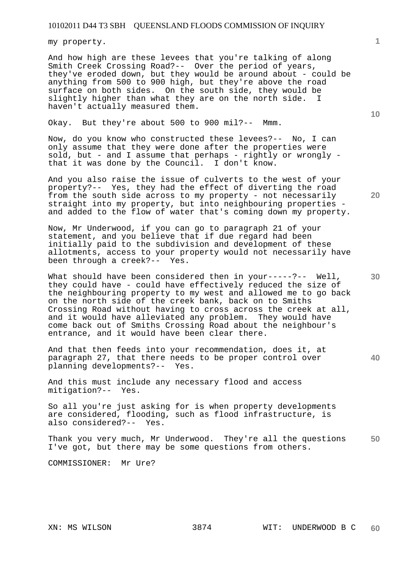my property.

And how high are these levees that you're talking of along Smith Creek Crossing Road?-- Over the period of years, they've eroded down, but they would be around about - could be anything from 500 to 900 high, but they're above the road surface on both sides. On the south side, they would be slightly higher than what they are on the north side. haven't actually measured them.

Okay. But they're about 500 to 900 mil?-- Mmm.

Now, do you know who constructed these levees?-- No, I can only assume that they were done after the properties were sold, but - and I assume that perhaps - rightly or wrongly that it was done by the Council. I don't know.

And you also raise the issue of culverts to the west of your property?-- Yes, they had the effect of diverting the road from the south side across to my property - not necessarily straight into my property, but into neighbouring properties and added to the flow of water that's coming down my property.

Now, Mr Underwood, if you can go to paragraph 21 of your statement, and you believe that if due regard had been initially paid to the subdivision and development of these allotments, access to your property would not necessarily have been through a creek?-- Yes.

What should have been considered then in your-----?-- Well, they could have - could have effectively reduced the size of the neighbouring property to my west and allowed me to go back on the north side of the creek bank, back on to Smiths Crossing Road without having to cross across the creek at all, and it would have alleviated any problem. They would have come back out of Smiths Crossing Road about the neighbour's entrance, and it would have been clear there.

And that then feeds into your recommendation, does it, at paragraph 27, that there needs to be proper control over planning developments?-- Yes.

And this must include any necessary flood and access mitigation?-- Yes.

So all you're just asking for is when property developments are considered, flooding, such as flood infrastructure, is also considered?-- Yes.

**50**  Thank you very much, Mr Underwood. They're all the questions I've got, but there may be some questions from others.

COMMISSIONER: Mr Ure?

**10** 

**20** 

**40**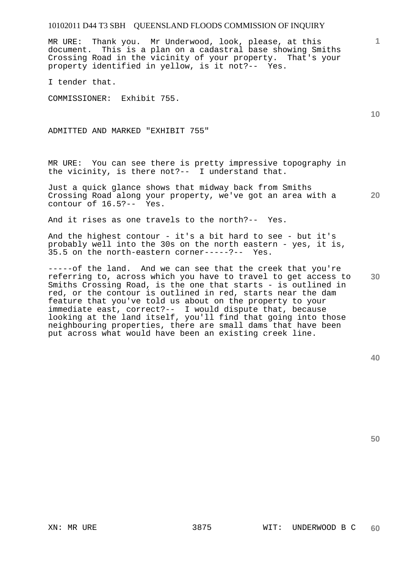MR URE: Thank you. Mr Underwood, look, please, at this document. This is a plan on a cadastral base showing Smiths Crossing Road in the vicinity of your property. That's your property identified in yellow, is it not?-- Yes.

I tender that.

COMMISSIONER: Exhibit 755.

ADMITTED AND MARKED "EXHIBIT 755"

MR URE: You can see there is pretty impressive topography in the vicinity, is there not?-- I understand that.

**20**  Just a quick glance shows that midway back from Smiths Crossing Road along your property, we've got an area with a contour of 16.5?-- Yes.

And it rises as one travels to the north?-- Yes.

And the highest contour - it's a bit hard to see - but it's probably well into the 30s on the north eastern - yes, it is, 35.5 on the north-eastern corner-----?-- Yes.

**30**  -----of the land. And we can see that the creek that you're referring to, across which you have to travel to get access to Smiths Crossing Road, is the one that starts - is outlined in red, or the contour is outlined in red, starts near the dam feature that you've told us about on the property to your immediate east, correct?-- I would dispute that, because looking at the land itself, you'll find that going into those neighbouring properties, there are small dams that have been put across what would have been an existing creek line.

**50** 

**10**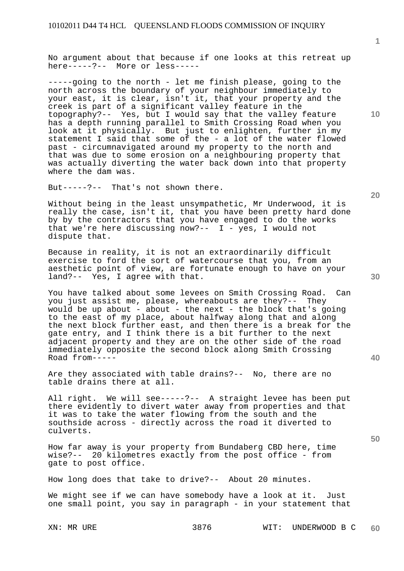No argument about that because if one looks at this retreat up here-----?-- More or less-----

-----going to the north - let me finish please, going to the north across the boundary of your neighbour immediately to your east, it is clear, isn't it, that your property and the creek is part of a significant valley feature in the topography?-- Yes, but I would say that the valley feature has a depth running parallel to Smith Crossing Road when you look at it physically. But just to enlighten, further in my statement I said that some of the - a lot of the water flowed past - circumnavigated around my property to the north and that was due to some erosion on a neighbouring property that was actually diverting the water back down into that property where the dam was.

But-----?-- That's not shown there.

Without being in the least unsympathetic, Mr Underwood, it is really the case, isn't it, that you have been pretty hard done by by the contractors that you have engaged to do the works that we're here discussing now?--  $I - yes$ , I would not dispute that.

Because in reality, it is not an extraordinarily difficult exercise to ford the sort of watercourse that you, from an aesthetic point of view, are fortunate enough to have on your land?-- Yes, I agree with that.

You have talked about some levees on Smith Crossing Road. Can you just assist me, please, whereabouts are they?-- They would be up about - about - the next - the block that's going to the east of my place, about halfway along that and along the next block further east, and then there is a break for the gate entry, and I think there is a bit further to the next adjacent property and they are on the other side of the road immediately opposite the second block along Smith Crossing Road from-----

Are they associated with table drains?-- No, there are no table drains there at all.

All right. We will see-----?-- A straight levee has been put there evidently to divert water away from properties and that it was to take the water flowing from the south and the southside across - directly across the road it diverted to culverts.

How far away is your property from Bundaberg CBD here, time<br>wise?-- 20 kilometres exactly from the post office - from 20 kilometres exactly from the post office - from gate to post office.

How long does that take to drive?-- About 20 minutes.

We might see if we can have somebody have a look at it. Just one small point, you say in paragraph - in your statement that

**10** 

**1**

**40**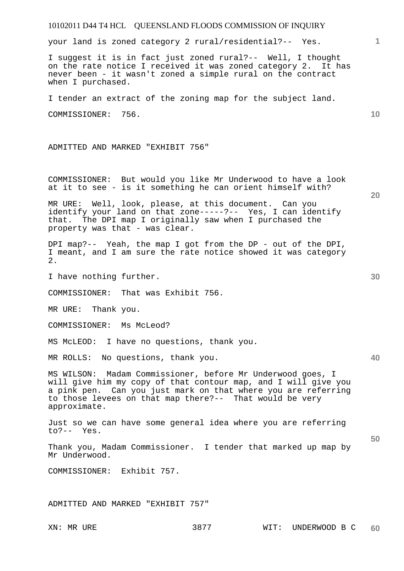# 10102011 D44 T4 HCL QUEENSLAND FLOODS COMMISSION OF INQUIRY XN: MR URE 3877 WIT: UNDERWOOD B C **1 10 20 30 40 50**  your land is zoned category 2 rural/residential?-- Yes. I suggest it is in fact just zoned rural?-- Well, I thought on the rate notice I received it was zoned category 2. It has never been - it wasn't zoned a simple rural on the contract when I purchased. I tender an extract of the zoning map for the subject land. COMMISSIONER: 756. ADMITTED AND MARKED "EXHIBIT 756" COMMISSIONER: But would you like Mr Underwood to have a look at it to see - is it something he can orient himself with? MR URE: Well, look, please, at this document. Can you identify your land on that zone-----?-- Yes, I can identify that. The DPI map I originally saw when I purchased the property was that - was clear. DPI map?-- Yeah, the map I got from the DP - out of the DPI, I meant, and I am sure the rate notice showed it was category 2. I have nothing further. COMMISSIONER: That was Exhibit 756. MR URE: Thank you. COMMISSIONER: Ms McLeod? MS McLEOD: I have no questions, thank you. MR ROLLS: No questions, thank you. MS WILSON: Madam Commissioner, before Mr Underwood goes, I will give him my copy of that contour map, and I will give you a pink pen. Can you just mark on that where you are referring to those levees on that map there?-- That would be very approximate. Just so we can have some general idea where you are referring to?-- Yes. Thank you, Madam Commissioner. I tender that marked up map by Mr Underwood. COMMISSIONER: Exhibit 757. ADMITTED AND MARKED "EXHIBIT 757"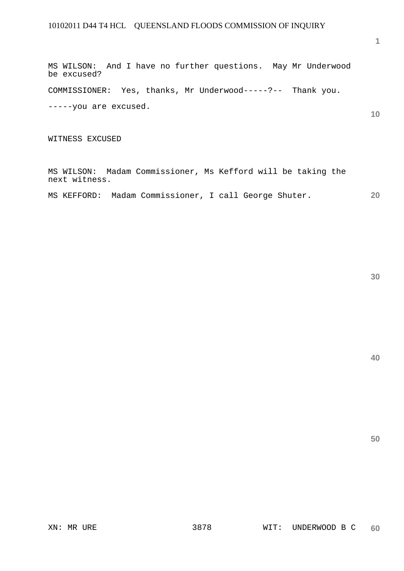MS WILSON: And I have no further questions. May Mr Underwood be excused?

COMMISSIONER: Yes, thanks, Mr Underwood-----?-- Thank you.

-----you are excused.

WITNESS EXCUSED

MS WILSON: Madam Commissioner, Ms Kefford will be taking the next witness.

**20**  MS KEFFORD: Madam Commissioner, I call George Shuter.

**30** 

**50**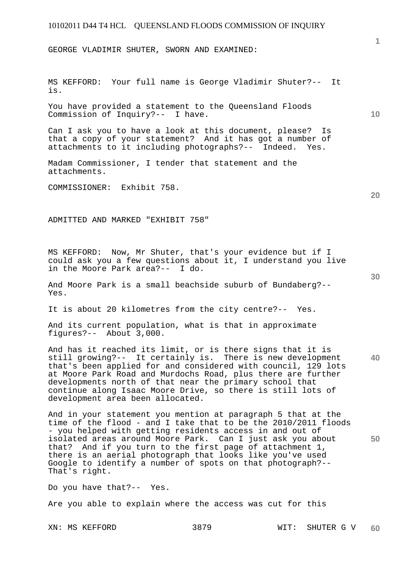GEORGE VLADIMIR SHUTER, SWORN AND EXAMINED:

MS KEFFORD: Your full name is George Vladimir Shuter?-- It is.

You have provided a statement to the Queensland Floods Commission of Inquiry?-- I have.

Can I ask you to have a look at this document, please? Is that a copy of your statement? And it has got a number of attachments to it including photographs?-- Indeed. Yes.

Madam Commissioner, I tender that statement and the attachments.

COMMISSIONER: Exhibit 758.

ADMITTED AND MARKED "EXHIBIT 758"

MS KEFFORD: Now, Mr Shuter, that's your evidence but if I could ask you a few questions about it, I understand you live in the Moore Park area?-- I do.

And Moore Park is a small beachside suburb of Bundaberg?-- Yes.

It is about 20 kilometres from the city centre?-- Yes.

And its current population, what is that in approximate figures?-- About 3,000.

**40**  And has it reached its limit, or is there signs that it is still growing?-- It certainly is. There is new development that's been applied for and considered with council, 129 lots at Moore Park Road and Murdochs Road, plus there are further developments north of that near the primary school that continue along Isaac Moore Drive, so there is still lots of development area been allocated.

And in your statement you mention at paragraph 5 that at the time of the flood - and I take that to be the 2010/2011 floods - you helped with getting residents access in and out of isolated areas around Moore Park. Can I just ask you about that? And if you turn to the first page of attachment 1, there is an aerial photograph that looks like you've used Google to identify a number of spots on that photograph?-- That's right.

Do you have that?-- Yes.

Are you able to explain where the access was cut for this

**20** 

**50** 

**10**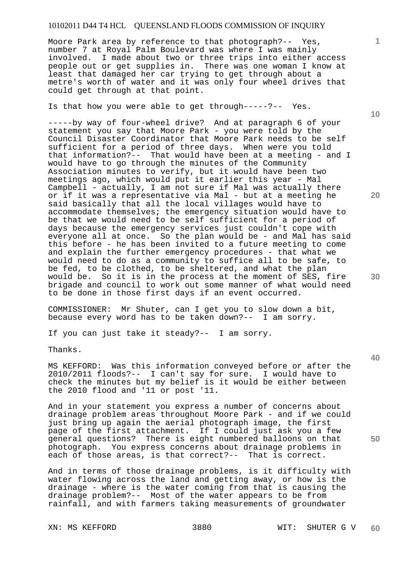Moore Park area by reference to that photograph?-- Yes, number 7 at Royal Palm Boulevard was where I was mainly involved. I made about two or three trips into either access people out or get supplies in. There was one woman I know at least that damaged her car trying to get through about a metre's worth of water and it was only four wheel drives that could get through at that point.

Is that how you were able to get through-----?-- Yes.

-----by way of four-wheel drive? And at paragraph 6 of your statement you say that Moore Park - you were told by the Council Disaster Coordinator that Moore Park needs to be self sufficient for a period of three days. When were you told that information?-- That would have been at a meeting - and I would have to go through the minutes of the Community Association minutes to verify, but it would have been two meetings ago, which would put it earlier this year - Mal Campbell - actually, I am not sure if Mal was actually there or if it was a representative via Mal - but at a meeting he said basically that all the local villages would have to accommodate themselves; the emergency situation would have to be that we would need to be self sufficient for a period of days because the emergency services just couldn't cope with everyone all at once. So the plan would be - and Mal has said this before - he has been invited to a future meeting to come and explain the further emergency procedures - that what we would need to do as a community to suffice all to be safe, to be fed, to be clothed, to be sheltered, and what the plan would be. So it is in the process at the moment of SES, fire brigade and council to work out some manner of what would need to be done in those first days if an event occurred.

COMMISSIONER: Mr Shuter, can I get you to slow down a bit, because every word has to be taken down?-- I am sorry.

If you can just take it steady?-- I am sorry.

Thanks.

MS KEFFORD: Was this information conveyed before or after the 2010/2011 floods?-- I can't say for sure. I would have to check the minutes but my belief is it would be either between the 2010 flood and '11 or post '11.

And in your statement you express a number of concerns about drainage problem areas throughout Moore Park - and if we could just bring up again the aerial photograph image, the first page of the first attachment. If I could just ask you a few general questions? There is eight numbered balloons on that photograph. You express concerns about drainage problems in each of those areas, is that correct?-- That is correct.

And in terms of those drainage problems, is it difficulty with water flowing across the land and getting away, or how is the drainage - where is the water coming from that is causing the drainage problem?-- Most of the water appears to be from rainfall, and with farmers taking measurements of groundwater

**10** 

**1**

**20** 

**40**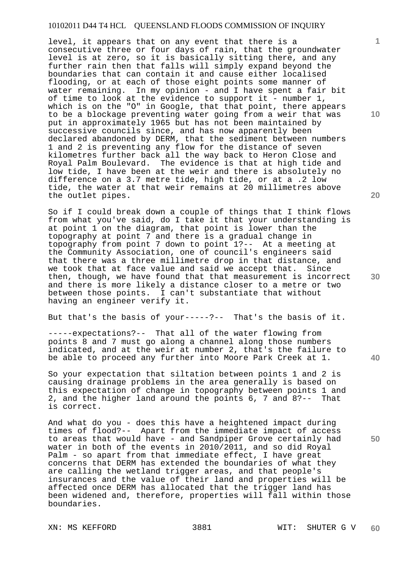level, it appears that on any event that there is a consecutive three or four days of rain, that the groundwater level is at zero, so it is basically sitting there, and any further rain then that falls will simply expand beyond the boundaries that can contain it and cause either localised flooding, or at each of those eight points some manner of water remaining. In my opinion - and I have spent a fair bit of time to look at the evidence to support it - number 1, which is on the "O" in Google, that that point, there appears to be a blockage preventing water going from a weir that was put in approximately 1965 but has not been maintained by successive councils since, and has now apparently been declared abandoned by DERM, that the sediment between numbers 1 and 2 is preventing any flow for the distance of seven kilometres further back all the way back to Heron Close and Royal Palm Boulevard. The evidence is that at high tide and low tide, I have been at the weir and there is absolutely no difference on a 3.7 metre tide, high tide, or at a .2 low tide, the water at that weir remains at 20 millimetres above the outlet pipes.

So if I could break down a couple of things that I think flows from what you've said, do I take it that your understanding is at point 1 on the diagram, that point is lower than the topography at point 7 and there is a gradual change in topography from point 7 down to point 1?-- At a meeting at the Community Association, one of council's engineers said that there was a three millimetre drop in that distance, and we took that at face value and said we accept that. Since then, though, we have found that that measurement is incorrect and there is more likely a distance closer to a metre or two between those points. I can't substantiate that without having an engineer verify it.

But that's the basis of your-----?-- That's the basis of it.

-----expectations?-- That all of the water flowing from points 8 and 7 must go along a channel along those numbers indicated, and at the weir at number 2, that's the failure to be able to proceed any further into Moore Park Creek at 1.

So your expectation that siltation between points 1 and 2 is causing drainage problems in the area generally is based on this expectation of change in topography between points 1 and 2, and the higher land around the points 6, 7 and 8?-- That is correct.

And what do you - does this have a heightened impact during times of flood?-- Apart from the immediate impact of access to areas that would have - and Sandpiper Grove certainly had water in both of the events in 2010/2011, and so did Royal Palm - so apart from that immediate effect, I have great concerns that DERM has extended the boundaries of what they are calling the wetland trigger areas, and that people's insurances and the value of their land and properties will be affected once DERM has allocated that the trigger land has been widened and, therefore, properties will fall within those boundaries.

**10** 

**1**

**20** 

**40**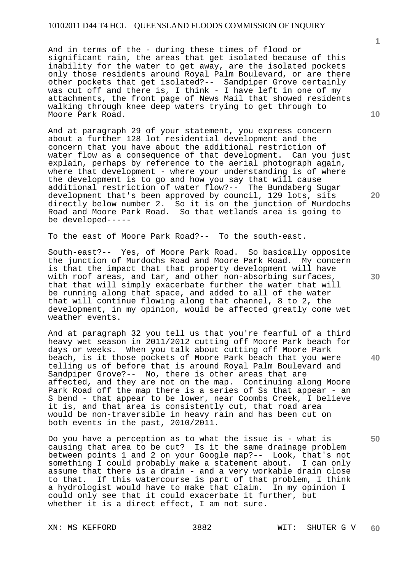And in terms of the - during these times of flood or significant rain, the areas that get isolated because of this inability for the water to get away, are the isolated pockets only those residents around Royal Palm Boulevard, or are there other pockets that get isolated?-- Sandpiper Grove certainly was cut off and there is, I think - I have left in one of my attachments, the front page of News Mail that showed residents walking through knee deep waters trying to get through to Moore Park Road.

And at paragraph 29 of your statement, you express concern about a further 128 lot residential development and the concern that you have about the additional restriction of water flow as a consequence of that development. Can you just explain, perhaps by reference to the aerial photograph again, where that development - where your understanding is of where the development is to go and how you say that will cause additional restriction of water flow?-- The Bundaberg Sugar development that's been approved by council, 129 lots, sits directly below number 2. So it is on the junction of Murdochs Road and Moore Park Road. So that wetlands area is going to be developed-----

To the east of Moore Park Road?-- To the south-east.

South-east?-- Yes, of Moore Park Road. So basically opposite the junction of Murdochs Road and Moore Park Road. My concern is that the impact that that property development will have with roof areas, and tar, and other non-absorbing surfaces, that that will simply exacerbate further the water that will be running along that space, and added to all of the water that will continue flowing along that channel, 8 to 2, the development, in my opinion, would be affected greatly come wet weather events.

And at paragraph 32 you tell us that you're fearful of a third heavy wet season in 2011/2012 cutting off Moore Park beach for days or weeks. When you talk about cutting off Moore Park beach, is it those pockets of Moore Park beach that you were telling us of before that is around Royal Palm Boulevard and Sandpiper Grove?-- No, there is other areas that are affected, and they are not on the map. Continuing along Moore Park Road off the map there is a series of Ss that appear - an S bend - that appear to be lower, near Coombs Creek, I believe it is, and that area is consistently cut, that road area would be non-traversible in heavy rain and has been cut on both events in the past, 2010/2011.

Do you have a perception as to what the issue is - what is causing that area to be cut? Is it the same drainage problem between points 1 and 2 on your Google map?-- Look, that's not something I could probably make a statement about. I can only assume that there is a drain - and a very workable drain close to that. If this watercourse is part of that problem, I think a hydrologist would have to make that claim. In my opinion I could only see that it could exacerbate it further, but whether it is a direct effect, I am not sure.

**1**

**10** 

**30** 

**40** 

**50**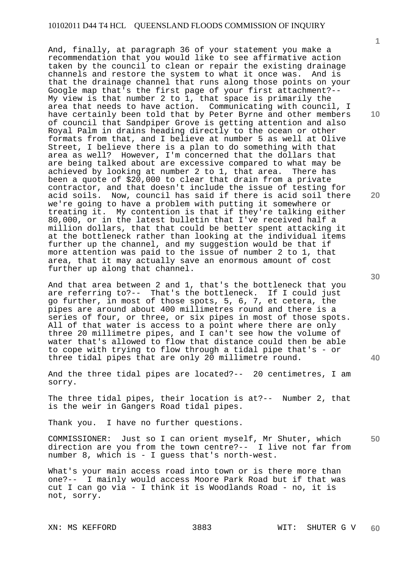And, finally, at paragraph 36 of your statement you make a recommendation that you would like to see affirmative action taken by the council to clean or repair the existing drainage channels and restore the system to what it once was. And is that the drainage channel that runs along those points on your Google map that's the first page of your first attachment?-- My view is that number 2 to 1, that space is primarily the area that needs to have action. Communicating with council, I have certainly been told that by Peter Byrne and other members of council that Sandpiper Grove is getting attention and also Royal Palm in drains heading directly to the ocean or other formats from that, and I believe at number 5 as well at Olive Street, I believe there is a plan to do something with that area as well? However, I'm concerned that the dollars that are being talked about are excessive compared to what may be achieved by looking at number 2 to 1, that area. There has been a quote of \$20,000 to clear that drain from a private contractor, and that doesn't include the issue of testing for acid soils. Now, council has said if there is acid soil there we're going to have a problem with putting it somewhere or treating it. My contention is that if they're talking either 80,000, or in the latest bulletin that I've received half a million dollars, that that could be better spent attacking it at the bottleneck rather than looking at the individual items further up the channel, and my suggestion would be that if more attention was paid to the issue of number 2 to 1, that area, that it may actually save an enormous amount of cost further up along that channel.

And that area between 2 and 1, that's the bottleneck that you are referring to?-- That's the bottleneck. If I could just go further, in most of those spots, 5, 6, 7, et cetera, the pipes are around about 400 millimetres round and there is a series of four, or three, or six pipes in most of those spots. All of that water is access to a point where there are only three 20 millimetre pipes, and I can't see how the volume of water that's allowed to flow that distance could then be able to cope with trying to flow through a tidal pipe that's - or three tidal pipes that are only 20 millimetre round.

And the three tidal pipes are located?-- 20 centimetres, I am sorry.

The three tidal pipes, their location is at?-- Number 2, that is the weir in Gangers Road tidal pipes.

Thank you. I have no further questions.

**50**  COMMISSIONER: Just so I can orient myself, Mr Shuter, which direction are you from the town centre?-- I live not far from number 8, which is - I guess that's north-west.

What's your main access road into town or is there more than one?-- I mainly would access Moore Park Road but if that was cut I can go via - I think it is Woodlands Road - no, it is not, sorry.

**10** 

**1**

**20** 

**30**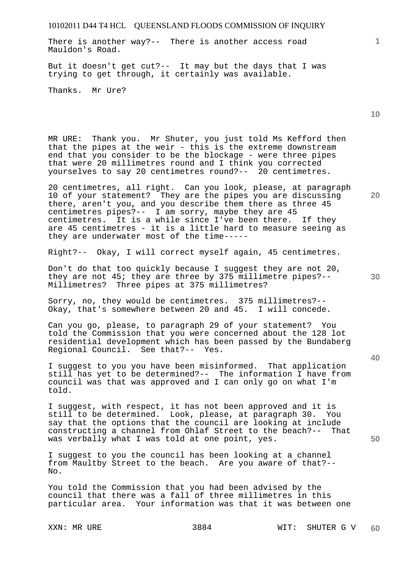There is another way?-- There is another access road Mauldon's Road.

But it doesn't get cut?-- It may but the days that I was trying to get through, it certainly was available.

Thanks. Mr Ure?

MR URE: Thank you. Mr Shuter, you just told Ms Kefford then that the pipes at the weir - this is the extreme downstream end that you consider to be the blockage - were three pipes that were 20 millimetres round and I think you corrected yourselves to say 20 centimetres round?-- 20 centimetres.

20 centimetres, all right. Can you look, please, at paragraph 10 of your statement? They are the pipes you are discussing there, aren't you, and you describe them there as three 45 centimetres pipes?-- I am sorry, maybe they are 45 centimetres. It is a while since I've been there. If they are 45 centimetres - it is a little hard to measure seeing as they are underwater most of the time-----

Right?-- Okay, I will correct myself again, 45 centimetres.

Don't do that too quickly because I suggest they are not 20, they are not 45; they are three by 375 millimetre pipes?-- Millimetres? Three pipes at 375 millimetres?

Sorry, no, they would be centimetres. 375 millimetres?-- Okay, that's somewhere between 20 and 45. I will concede.

Can you go, please, to paragraph 29 of your statement? You told the Commission that you were concerned about the 128 lot residential development which has been passed by the Bundaberg Regional Council. See that?-- Yes.

I suggest to you you have been misinformed. That application still has yet to be determined?-- The information I have from council was that was approved and I can only go on what I'm told.

I suggest, with respect, it has not been approved and it is still to be determined. Look, please, at paragraph 30. You say that the options that the council are looking at include constructing a channel from Ohlaf Street to the beach?-- That was verbally what I was told at one point, yes.

I suggest to you the council has been looking at a channel from Maultby Street to the beach. Are you aware of that?-- No.

You told the Commission that you had been advised by the council that there was a fall of three millimetres in this particular area. Your information was that it was between one

**10** 

**1**

**20** 

**40**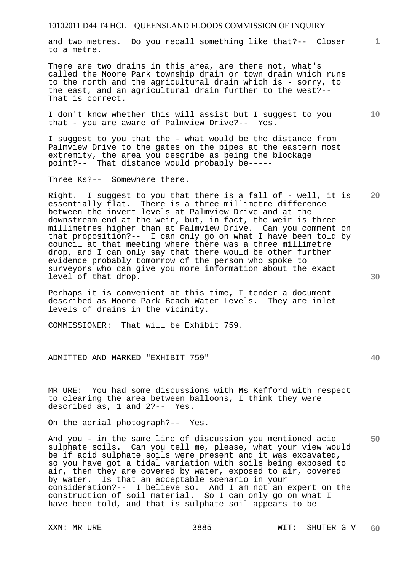and two metres. Do you recall something like that?-- Closer to a metre.

There are two drains in this area, are there not, what's called the Moore Park township drain or town drain which runs to the north and the agricultural drain which is - sorry, to the east, and an agricultural drain further to the west?-- That is correct.

I don't know whether this will assist but I suggest to you that - you are aware of Palmview Drive?-- Yes.

I suggest to you that the - what would be the distance from Palmview Drive to the gates on the pipes at the eastern most extremity, the area you describe as being the blockage point?-- That distance would probably be-----

Three Ks?-- Somewhere there.

Right. I suggest to you that there is a fall of - well, it is essentially flat. There is a three millimetre difference between the invert levels at Palmview Drive and at the downstream end at the weir, but, in fact, the weir is three millimetres higher than at Palmview Drive. Can you comment on that proposition?-- I can only go on what I have been told by council at that meeting where there was a three millimetre drop, and I can only say that there would be other further evidence probably tomorrow of the person who spoke to surveyors who can give you more information about the exact level of that drop.

Perhaps it is convenient at this time, I tender a document described as Moore Park Beach Water Levels. They are inlet levels of drains in the vicinity.

COMMISSIONER: That will be Exhibit 759.

ADMITTED AND MARKED "EXHIBIT 759"

MR URE: You had some discussions with Ms Kefford with respect to clearing the area between balloons, I think they were described as, 1 and 2?-- Yes.

On the aerial photograph?-- Yes.

And you - in the same line of discussion you mentioned acid sulphate soils. Can you tell me, please, what your view would be if acid sulphate soils were present and it was excavated, so you have got a tidal variation with soils being exposed to air, then they are covered by water, exposed to air, covered<br>by water. Is that an acceptable scenario in your Is that an acceptable scenario in your consideration?-- I believe so. And I am not an expert on the construction of soil material. So I can only go on what I have been told, and that is sulphate soil appears to be

**30** 

**20** 

**50** 

**10**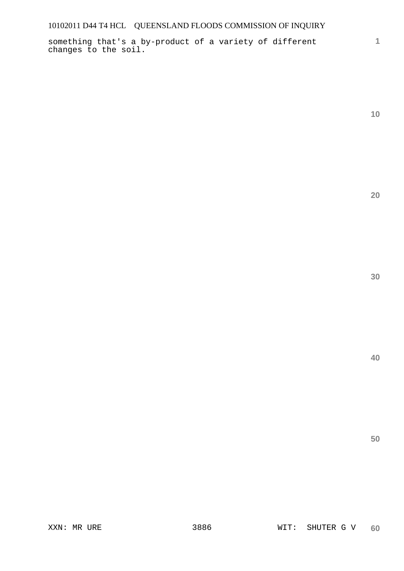something that's a by-product of a variety of different changes to the soil.

**10** 

**1**

**20** 

**30** 

**40**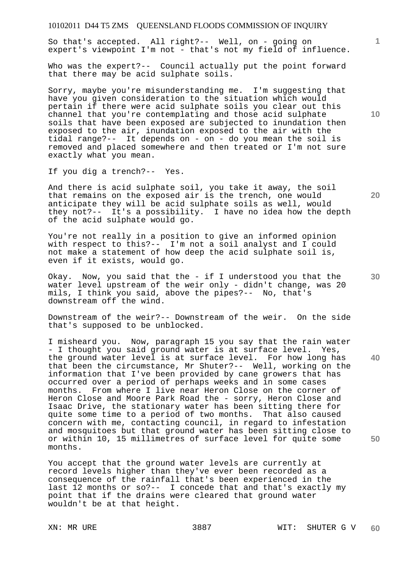So that's accepted. All right?-- Well, on - going on expert's viewpoint I'm not - that's not my field of influence.

Who was the expert?-- Council actually put the point forward that there may be acid sulphate soils.

Sorry, maybe you're misunderstanding me. I'm suggesting that have you given consideration to the situation which would pertain if there were acid sulphate soils you clear out this channel that you're contemplating and those acid sulphate soils that have been exposed are subjected to inundation then exposed to the air, inundation exposed to the air with the tidal range?-- It depends on - on - do you mean the soil is removed and placed somewhere and then treated or I'm not sure exactly what you mean.

If you dig a trench?-- Yes.

And there is acid sulphate soil, you take it away, the soil that remains on the exposed air is the trench, one would anticipate they will be acid sulphate soils as well, would they not?-- It's a possibility. I have no idea how the depth of the acid sulphate would go.

You're not really in a position to give an informed opinion with respect to this?-- I'm not a soil analyst and I could not make a statement of how deep the acid sulphate soil is, even if it exists, would go.

Okay. Now, you said that the - if I understood you that the water level upstream of the weir only - didn't change, was 20 mils, I think you said, above the pipes?-- No, that's downstream off the wind.

Downstream of the weir?-- Downstream of the weir. On the side that's supposed to be unblocked.

I misheard you. Now, paragraph 15 you say that the rain water - I thought you said ground water is at surface level. Yes, the ground water level is at surface level. For how long has that been the circumstance, Mr Shuter?-- Well, working on the information that I've been provided by cane growers that has occurred over a period of perhaps weeks and in some cases months. From where I live near Heron Close on the corner of Heron Close and Moore Park Road the - sorry, Heron Close and Isaac Drive, the stationary water has been sitting there for quite some time to a period of two months. That also caused concern with me, contacting council, in regard to infestation and mosquitoes but that ground water has been sitting close to or within 10, 15 millimetres of surface level for quite some months.

You accept that the ground water levels are currently at record levels higher than they've ever been recorded as a consequence of the rainfall that's been experienced in the last 12 months or so?-- I concede that and that's exactly my point that if the drains were cleared that ground water wouldn't be at that height.

**10** 

**1**

**30** 

**40** 

**50**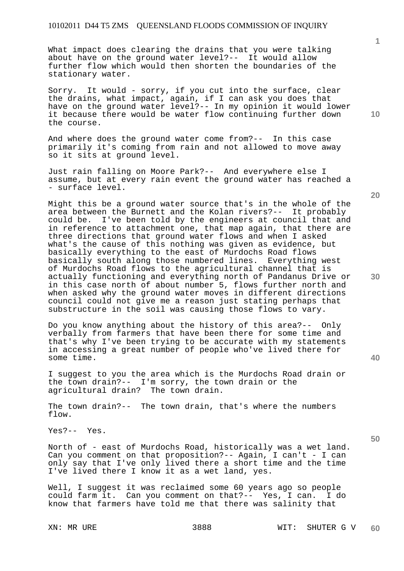What impact does clearing the drains that you were talking about have on the ground water level?-- It would allow further flow which would then shorten the boundaries of the stationary water.

Sorry. It would - sorry, if you cut into the surface, clear the drains, what impact, again, if I can ask you does that have on the ground water level?-- In my opinion it would lower it because there would be water flow continuing further down the course.

And where does the ground water come from?-- In this case primarily it's coming from rain and not allowed to move away so it sits at ground level.

Just rain falling on Moore Park?-- And everywhere else I assume, but at every rain event the ground water has reached a - surface level.

Might this be a ground water source that's in the whole of the area between the Burnett and the Kolan rivers?-- It probably could be. I've been told by the engineers at council that and in reference to attachment one, that map again, that there are three directions that ground water flows and when I asked what's the cause of this nothing was given as evidence, but basically everything to the east of Murdochs Road flows basically south along those numbered lines. Everything west of Murdochs Road flows to the agricultural channel that is actually functioning and everything north of Pandanus Drive or in this case north of about number 5, flows further north and when asked why the ground water moves in different directions council could not give me a reason just stating perhaps that substructure in the soil was causing those flows to vary.

Do you know anything about the history of this area?-- Only verbally from farmers that have been there for some time and that's why I've been trying to be accurate with my statements in accessing a great number of people who've lived there for some time.

I suggest to you the area which is the Murdochs Road drain or the town drain?-- I'm sorry, the town drain or the agricultural drain? The town drain.

The town drain?-- The town drain, that's where the numbers flow.

Yes?-- Yes.

North of - east of Murdochs Road, historically was a wet land. Can you comment on that proposition?-- Again, I can't - I can only say that I've only lived there a short time and the time I've lived there I know it as a wet land, yes.

Well, I suggest it was reclaimed some 60 years ago so people could farm it. Can you comment on that?-- Yes, I can. I do know that farmers have told me that there was salinity that

**10** 

**1**

**20** 

**30** 

**40**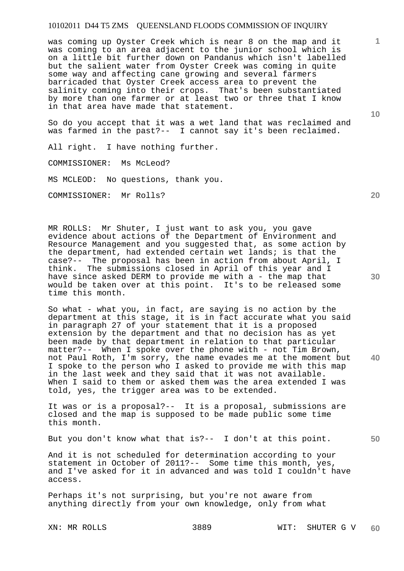was coming up Oyster Creek which is near 8 on the map and it was coming to an area adjacent to the junior school which is on a little bit further down on Pandanus which isn't labelled but the salient water from Oyster Creek was coming in quite some way and affecting cane growing and several farmers barricaded that Oyster Creek access area to prevent the salinity coming into their crops. That's been substantiated by more than one farmer or at least two or three that I know in that area have made that statement.

So do you accept that it was a wet land that was reclaimed and was farmed in the past?-- I cannot say it's been reclaimed.

All right. I have nothing further.

COMMISSIONER: Ms McLeod?

MS MCLEOD: No questions, thank you.

COMMISSIONER: Mr Rolls?

MR ROLLS: Mr Shuter, I just want to ask you, you gave evidence about actions of the Department of Environment and Resource Management and you suggested that, as some action by the department, had extended certain wet lands; is that the case?-- The proposal has been in action from about April, I think. The submissions closed in April of this year and I have since asked DERM to provide me with a - the map that would be taken over at this point. It's to be released some time this month.

So what - what you, in fact, are saying is no action by the department at this stage, it is in fact accurate what you said in paragraph 27 of your statement that it is a proposed extension by the department and that no decision has as yet been made by that department in relation to that particular matter?-- When I spoke over the phone with - not Tim Brown, not Paul Roth, I'm sorry, the name evades me at the moment but I spoke to the person who I asked to provide me with this map in the last week and they said that it was not available. When I said to them or asked them was the area extended I was told, yes, the trigger area was to be extended.

It was or is a proposal?-- It is a proposal, submissions are closed and the map is supposed to be made public some time this month.

But you don't know what that is?-- I don't at this point.

And it is not scheduled for determination according to your statement in October of 2011?-- Some time this month, yes, and I've asked for it in advanced and was told I couldn't have access.

Perhaps it's not surprising, but you're not aware from anything directly from your own knowledge, only from what

**10** 

**20** 

**1**

**30** 

**40**